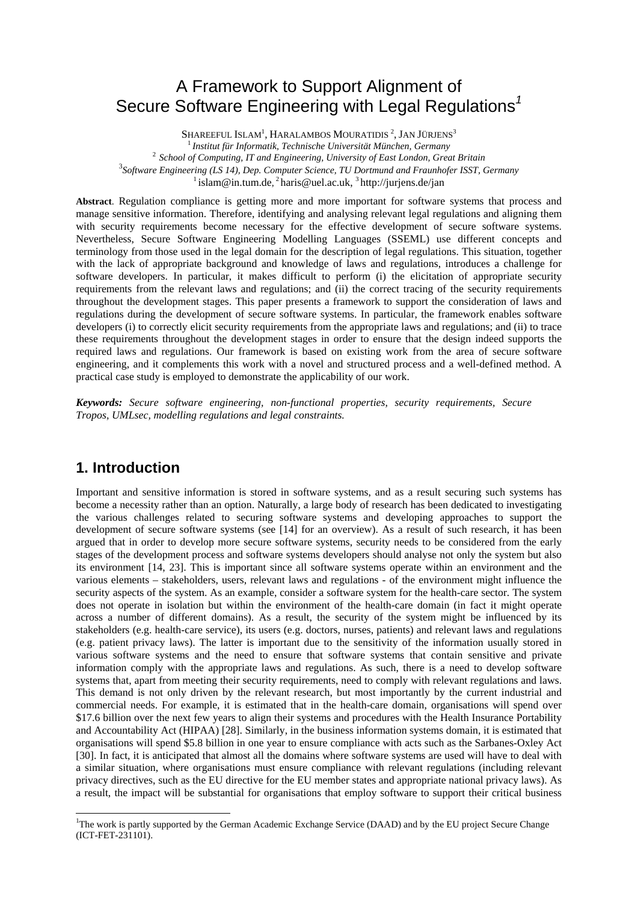# A Framework to Support Alignment of Secure Software Engineering with Legal Regulations*<sup>1</sup>*

SHAREEFUL ISLAM<sup>1</sup>, HARALAMBOS MOURATIDIS<sup>2</sup>, JAN JÜRJENS<sup>3</sup> *Institut für Informatik, Technische Universität München, Germany* <sup>2</sup>*School of Computing, IT and Engineering, University of East London, Great Britain Software Engineering (LS 14), Dep. Computer Science, TU Dortmund and Fraunhofer ISST, Germany* islam@in.tum.de,  $2$  haris@uel.ac.uk,  $3$  http://jurjens.de/jan

**Abstract**. Regulation compliance is getting more and more important for software systems that process and manage sensitive information. Therefore, identifying and analysing relevant legal regulations and aligning them with security requirements become necessary for the effective development of secure software systems. Nevertheless, Secure Software Engineering Modelling Languages (SSEML) use different concepts and terminology from those used in the legal domain for the description of legal regulations. This situation, together with the lack of appropriate background and knowledge of laws and regulations, introduces a challenge for software developers. In particular, it makes difficult to perform (i) the elicitation of appropriate security requirements from the relevant laws and regulations; and (ii) the correct tracing of the security requirements throughout the development stages. This paper presents a framework to support the consideration of laws and regulations during the development of secure software systems. In particular, the framework enables software developers (i) to correctly elicit security requirements from the appropriate laws and regulations; and (ii) to trace these requirements throughout the development stages in order to ensure that the design indeed supports the required laws and regulations. Our framework is based on existing work from the area of secure software engineering, and it complements this work with a novel and structured process and a well-defined method. A practical case study is employed to demonstrate the applicability of our work.

*Keywords: Secure software engineering, non-functional properties, security requirements, Secure Tropos, UMLsec, modelling regulations and legal constraints.* 

# **1. Introduction**

-

Important and sensitive information is stored in software systems, and as a result securing such systems has become a necessity rather than an option. Naturally, a large body of research has been dedicated to investigating the various challenges related to securing software systems and developing approaches to support the development of secure software systems (see [14] for an overview). As a result of such research, it has been argued that in order to develop more secure software systems, security needs to be considered from the early stages of the development process and software systems developers should analyse not only the system but also its environment [14, 23]. This is important since all software systems operate within an environment and the various elements – stakeholders, users, relevant laws and regulations - of the environment might influence the security aspects of the system. As an example, consider a software system for the health-care sector. The system does not operate in isolation but within the environment of the health-care domain (in fact it might operate across a number of different domains). As a result, the security of the system might be influenced by its stakeholders (e.g. health-care service), its users (e.g. doctors, nurses, patients) and relevant laws and regulations (e.g. patient privacy laws). The latter is important due to the sensitivity of the information usually stored in various software systems and the need to ensure that software systems that contain sensitive and private information comply with the appropriate laws and regulations. As such, there is a need to develop software systems that, apart from meeting their security requirements, need to comply with relevant regulations and laws. This demand is not only driven by the relevant research, but most importantly by the current industrial and commercial needs. For example, it is estimated that in the health-care domain, organisations will spend over \$17.6 billion over the next few years to align their systems and procedures with the Health Insurance Portability and Accountability Act (HIPAA) [28]. Similarly, in the business information systems domain, it is estimated that organisations will spend \$5.8 billion in one year to ensure compliance with acts such as the Sarbanes-Oxley Act [30]. In fact, it is anticipated that almost all the domains where software systems are used will have to deal with a similar situation, where organisations must ensure compliance with relevant regulations (including relevant privacy directives, such as the EU directive for the EU member states and appropriate national privacy laws). As a result, the impact will be substantial for organisations that employ software to support their critical business

<sup>&</sup>lt;sup>1</sup>The work is partly supported by the German Academic Exchange Service (DAAD) and by the EU project Secure Change (ICT-FET-231101).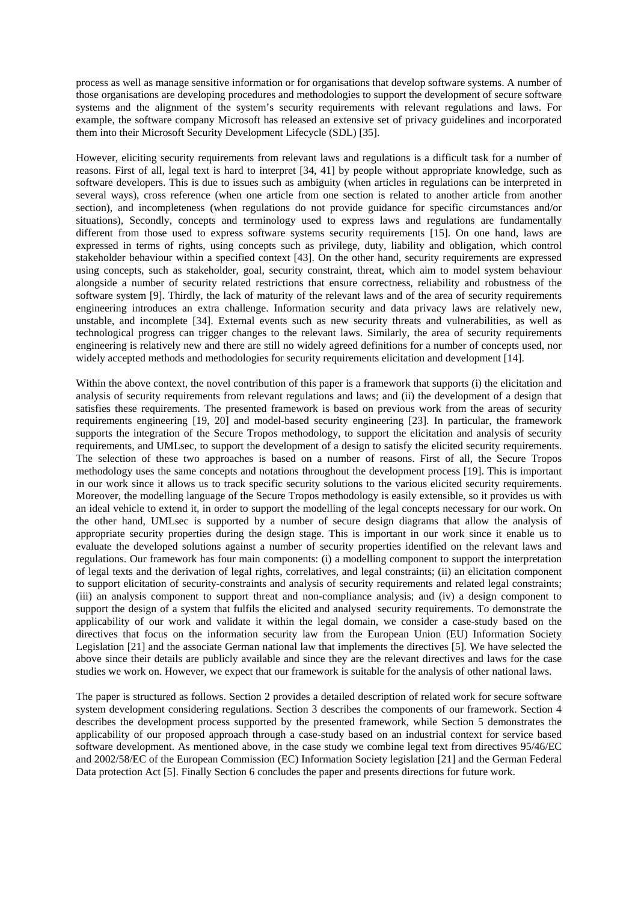process as well as manage sensitive information or for organisations that develop software systems. A number of those organisations are developing procedures and methodologies to support the development of secure software systems and the alignment of the system's security requirements with relevant regulations and laws. For example, the software company Microsoft has released an extensive set of privacy guidelines and incorporated them into their Microsoft Security Development Lifecycle (SDL) [35].

However, eliciting security requirements from relevant laws and regulations is a difficult task for a number of reasons. First of all, legal text is hard to interpret [34, 41] by people without appropriate knowledge, such as software developers. This is due to issues such as ambiguity (when articles in regulations can be interpreted in several ways), cross reference (when one article from one section is related to another article from another section), and incompleteness (when regulations do not provide guidance for specific circumstances and/or situations), Secondly, concepts and terminology used to express laws and regulations are fundamentally different from those used to express software systems security requirements [15]. On one hand, laws are expressed in terms of rights, using concepts such as privilege, duty, liability and obligation, which control stakeholder behaviour within a specified context [43]. On the other hand, security requirements are expressed using concepts, such as stakeholder, goal, security constraint, threat, which aim to model system behaviour alongside a number of security related restrictions that ensure correctness, reliability and robustness of the software system [9]. Thirdly, the lack of maturity of the relevant laws and of the area of security requirements engineering introduces an extra challenge. Information security and data privacy laws are relatively new, unstable, and incomplete [34]. External events such as new security threats and vulnerabilities, as well as technological progress can trigger changes to the relevant laws. Similarly, the area of security requirements engineering is relatively new and there are still no widely agreed definitions for a number of concepts used, nor widely accepted methods and methodologies for security requirements elicitation and development [14].

Within the above context, the novel contribution of this paper is a framework that supports (i) the elicitation and analysis of security requirements from relevant regulations and laws; and (ii) the development of a design that satisfies these requirements. The presented framework is based on previous work from the areas of security requirements engineering [19, 20] and model-based security engineering [23]. In particular, the framework supports the integration of the Secure Tropos methodology, to support the elicitation and analysis of security requirements, and UMLsec, to support the development of a design to satisfy the elicited security requirements. The selection of these two approaches is based on a number of reasons. First of all, the Secure Tropos methodology uses the same concepts and notations throughout the development process [19]. This is important in our work since it allows us to track specific security solutions to the various elicited security requirements. Moreover, the modelling language of the Secure Tropos methodology is easily extensible, so it provides us with an ideal vehicle to extend it, in order to support the modelling of the legal concepts necessary for our work. On the other hand, UMLsec is supported by a number of secure design diagrams that allow the analysis of appropriate security properties during the design stage. This is important in our work since it enable us to evaluate the developed solutions against a number of security properties identified on the relevant laws and regulations. Our framework has four main components: (i) a modelling component to support the interpretation of legal texts and the derivation of legal rights, correlatives, and legal constraints; (ii) an elicitation component to support elicitation of security-constraints and analysis of security requirements and related legal constraints; (iii) an analysis component to support threat and non-compliance analysis; and (iv) a design component to support the design of a system that fulfils the elicited and analysed security requirements. To demonstrate the applicability of our work and validate it within the legal domain, we consider a case-study based on the directives that focus on the information security law from the European Union (EU) Information Society Legislation [21] and the associate German national law that implements the directives [5]. We have selected the above since their details are publicly available and since they are the relevant directives and laws for the case studies we work on. However, we expect that our framework is suitable for the analysis of other national laws.

The paper is structured as follows. Section 2 provides a detailed description of related work for secure software system development considering regulations. Section 3 describes the components of our framework. Section 4 describes the development process supported by the presented framework, while Section 5 demonstrates the applicability of our proposed approach through a case-study based on an industrial context for service based software development. As mentioned above, in the case study we combine legal text from directives 95/46/EC and 2002/58/EC of the European Commission (EC) Information Society legislation [21] and the German Federal Data protection Act [5]. Finally Section 6 concludes the paper and presents directions for future work.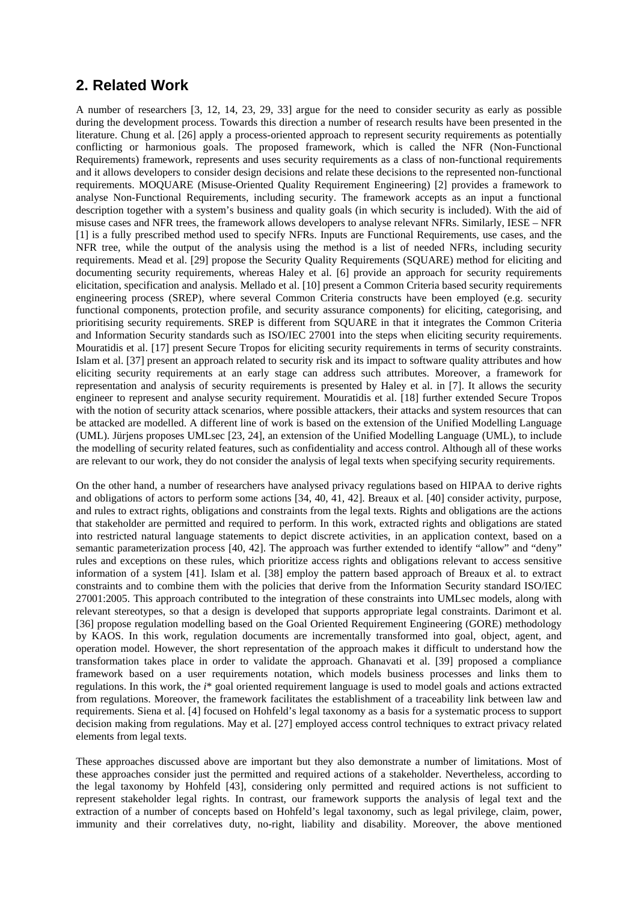# **2. Related Work**

A number of researchers [3, 12, 14, 23, 29, 33] argue for the need to consider security as early as possible during the development process. Towards this direction a number of research results have been presented in the literature. Chung et al. [26] apply a process-oriented approach to represent security requirements as potentially conflicting or harmonious goals. The proposed framework, which is called the NFR (Non-Functional Requirements) framework, represents and uses security requirements as a class of non-functional requirements and it allows developers to consider design decisions and relate these decisions to the represented non-functional requirements. MOQUARE (Misuse-Oriented Quality Requirement Engineering) [2] provides a framework to analyse Non-Functional Requirements, including security. The framework accepts as an input a functional description together with a system's business and quality goals (in which security is included). With the aid of misuse cases and NFR trees, the framework allows developers to analyse relevant NFRs. Similarly, IESE – NFR [1] is a fully prescribed method used to specify NFRs. Inputs are Functional Requirements, use cases, and the NFR tree, while the output of the analysis using the method is a list of needed NFRs, including security requirements. Mead et al. [29] propose the Security Quality Requirements (SQUARE) method for eliciting and documenting security requirements, whereas Haley et al. [6] provide an approach for security requirements elicitation, specification and analysis. Mellado et al. [10] present a Common Criteria based security requirements engineering process (SREP), where several Common Criteria constructs have been employed (e.g. security functional components, protection profile, and security assurance components) for eliciting, categorising, and prioritising security requirements. SREP is different from SQUARE in that it integrates the Common Criteria and Information Security standards such as ISO/IEC 27001 into the steps when eliciting security requirements. Mouratidis et al. [17] present Secure Tropos for eliciting security requirements in terms of security constraints. Islam et al. [37] present an approach related to security risk and its impact to software quality attributes and how eliciting security requirements at an early stage can address such attributes. Moreover, a framework for representation and analysis of security requirements is presented by Haley et al. in [7]. It allows the security engineer to represent and analyse security requirement. Mouratidis et al. [18] further extended Secure Tropos with the notion of security attack scenarios, where possible attackers, their attacks and system resources that can be attacked are modelled. A different line of work is based on the extension of the Unified Modelling Language (UML). Jürjens proposes UMLsec [23, 24], an extension of the Unified Modelling Language (UML), to include the modelling of security related features, such as confidentiality and access control. Although all of these works are relevant to our work, they do not consider the analysis of legal texts when specifying security requirements.

On the other hand, a number of researchers have analysed privacy regulations based on HIPAA to derive rights and obligations of actors to perform some actions [34, 40, 41, 42]. Breaux et al. [40] consider activity, purpose, and rules to extract rights, obligations and constraints from the legal texts. Rights and obligations are the actions that stakeholder are permitted and required to perform. In this work, extracted rights and obligations are stated into restricted natural language statements to depict discrete activities, in an application context, based on a semantic parameterization process [40, 42]. The approach was further extended to identify "allow" and "deny" rules and exceptions on these rules, which prioritize access rights and obligations relevant to access sensitive information of a system [41]. Islam et al. [38] employ the pattern based approach of Breaux et al. to extract constraints and to combine them with the policies that derive from the Information Security standard ISO/IEC 27001:2005. This approach contributed to the integration of these constraints into UMLsec models, along with relevant stereotypes, so that a design is developed that supports appropriate legal constraints. Darimont et al. [36] propose regulation modelling based on the Goal Oriented Requirement Engineering (GORE) methodology by KAOS. In this work, regulation documents are incrementally transformed into goal, object, agent, and operation model. However, the short representation of the approach makes it difficult to understand how the transformation takes place in order to validate the approach. Ghanavati et al. [39] proposed a compliance framework based on a user requirements notation, which models business processes and links them to regulations. In this work, the *i*\* goal oriented requirement language is used to model goals and actions extracted from regulations. Moreover, the framework facilitates the establishment of a traceability link between law and requirements. Siena et al. [4] focused on Hohfeld's legal taxonomy as a basis for a systematic process to support decision making from regulations. May et al. [27] employed access control techniques to extract privacy related elements from legal texts.

These approaches discussed above are important but they also demonstrate a number of limitations. Most of these approaches consider just the permitted and required actions of a stakeholder. Nevertheless, according to the legal taxonomy by Hohfeld [43], considering only permitted and required actions is not sufficient to represent stakeholder legal rights. In contrast, our framework supports the analysis of legal text and the extraction of a number of concepts based on Hohfeld's legal taxonomy, such as legal privilege, claim, power, immunity and their correlatives duty, no-right, liability and disability. Moreover, the above mentioned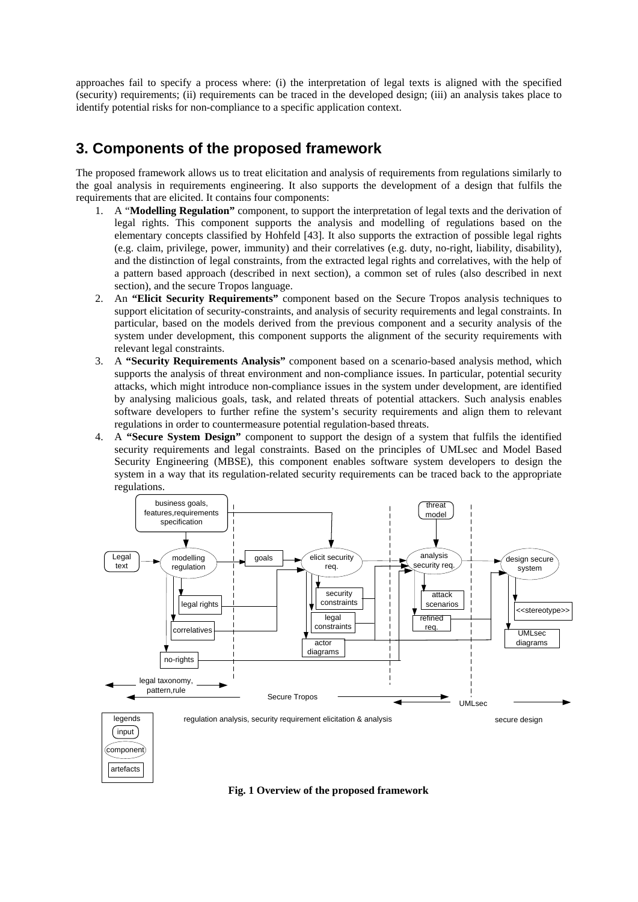approaches fail to specify a process where: (i) the interpretation of legal texts is aligned with the specified (security) requirements; (ii) requirements can be traced in the developed design; (iii) an analysis takes place to identify potential risks for non-compliance to a specific application context.

# **3. Components of the proposed framework**

The proposed framework allows us to treat elicitation and analysis of requirements from regulations similarly to the goal analysis in requirements engineering. It also supports the development of a design that fulfils the requirements that are elicited. It contains four components:

- 1. A "**Modelling Regulation"** component, to support the interpretation of legal texts and the derivation of legal rights. This component supports the analysis and modelling of regulations based on the elementary concepts classified by Hohfeld [43]. It also supports the extraction of possible legal rights (e.g. claim, privilege, power, immunity) and their correlatives (e.g. duty, no-right, liability, disability), and the distinction of legal constraints, from the extracted legal rights and correlatives, with the help of a pattern based approach (described in next section), a common set of rules (also described in next section), and the secure Tropos language.
- 2. An **"Elicit Security Requirements"** component based on the Secure Tropos analysis techniques to support elicitation of security-constraints, and analysis of security requirements and legal constraints. In particular, based on the models derived from the previous component and a security analysis of the system under development, this component supports the alignment of the security requirements with relevant legal constraints.
- 3. A **"Security Requirements Analysis"** component based on a scenario-based analysis method, which supports the analysis of threat environment and non-compliance issues. In particular, potential security attacks, which might introduce non-compliance issues in the system under development, are identified by analysing malicious goals, task, and related threats of potential attackers. Such analysis enables software developers to further refine the system's security requirements and align them to relevant regulations in order to countermeasure potential regulation-based threats.
- 4. A **"Secure System Design"** component to support the design of a system that fulfils the identified security requirements and legal constraints. Based on the principles of UMLsec and Model Based Security Engineering (MBSE), this component enables software system developers to design the system in a way that its regulation-related security requirements can be traced back to the appropriate regulations.



**Fig. 1 Overview of the proposed framework**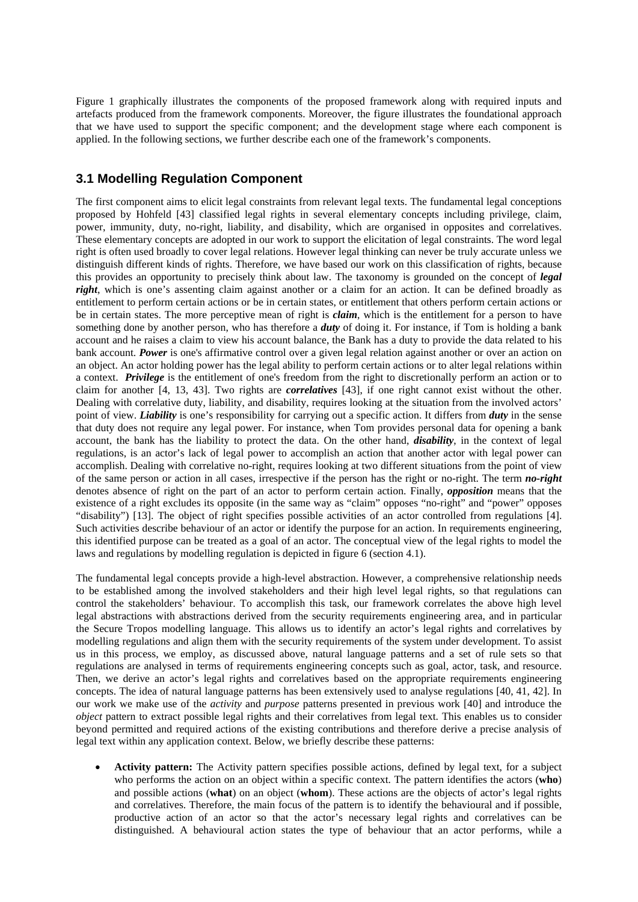Figure 1 graphically illustrates the components of the proposed framework along with required inputs and artefacts produced from the framework components. Moreover, the figure illustrates the foundational approach that we have used to support the specific component; and the development stage where each component is applied. In the following sections, we further describe each one of the framework's components.

# **3.1 Modelling Regulation Component**

The first component aims to elicit legal constraints from relevant legal texts. The fundamental legal conceptions proposed by Hohfeld [43] classified legal rights in several elementary concepts including privilege, claim, power, immunity, duty, no-right, liability, and disability, which are organised in opposites and correlatives. These elementary concepts are adopted in our work to support the elicitation of legal constraints. The word legal right is often used broadly to cover legal relations. However legal thinking can never be truly accurate unless we distinguish different kinds of rights. Therefore, we have based our work on this classification of rights, because this provides an opportunity to precisely think about law. The taxonomy is grounded on the concept of *legal right*, which is one's assenting claim against another or a claim for an action. It can be defined broadly as entitlement to perform certain actions or be in certain states, or entitlement that others perform certain actions or be in certain states. The more perceptive mean of right is *claim*, which is the entitlement for a person to have something done by another person, who has therefore a *duty* of doing it. For instance, if Tom is holding a bank account and he raises a claim to view his account balance, the Bank has a duty to provide the data related to his bank account. *Power* is one's affirmative control over a given legal relation against another or over an action on an object. An actor holding power has the legal ability to perform certain actions or to alter legal relations within a context. *Privilege* is the entitlement of one's freedom from the right to discretionally perform an action or to claim for another [4, 13, 43]. Two rights are *correlatives* [43], if one right cannot exist without the other. Dealing with correlative duty, liability, and disability, requires looking at the situation from the involved actors' point of view. *Liability* is one's responsibility for carrying out a specific action. It differs from *duty* in the sense that duty does not require any legal power. For instance, when Tom provides personal data for opening a bank account, the bank has the liability to protect the data. On the other hand, *disability*, in the context of legal regulations, is an actor's lack of legal power to accomplish an action that another actor with legal power can accomplish. Dealing with correlative no-right, requires looking at two different situations from the point of view of the same person or action in all cases, irrespective if the person has the right or no-right. The term *no-right* denotes absence of right on the part of an actor to perform certain action. Finally, *opposition* means that the existence of a right excludes its opposite (in the same way as "claim" opposes "no-right" and "power" opposes "disability") [13]. The object of right specifies possible activities of an actor controlled from regulations [4]. Such activities describe behaviour of an actor or identify the purpose for an action. In requirements engineering, this identified purpose can be treated as a goal of an actor. The conceptual view of the legal rights to model the laws and regulations by modelling regulation is depicted in figure 6 (section 4.1).

The fundamental legal concepts provide a high-level abstraction. However, a comprehensive relationship needs to be established among the involved stakeholders and their high level legal rights, so that regulations can control the stakeholders' behaviour. To accomplish this task, our framework correlates the above high level legal abstractions with abstractions derived from the security requirements engineering area, and in particular the Secure Tropos modelling language. This allows us to identify an actor's legal rights and correlatives by modelling regulations and align them with the security requirements of the system under development. To assist us in this process, we employ, as discussed above, natural language patterns and a set of rule sets so that regulations are analysed in terms of requirements engineering concepts such as goal, actor, task, and resource. Then, we derive an actor's legal rights and correlatives based on the appropriate requirements engineering concepts. The idea of natural language patterns has been extensively used to analyse regulations [40, 41, 42]. In our work we make use of the *activity* and *purpose* patterns presented in previous work [40] and introduce the *object* pattern to extract possible legal rights and their correlatives from legal text. This enables us to consider beyond permitted and required actions of the existing contributions and therefore derive a precise analysis of legal text within any application context. Below, we briefly describe these patterns:

 **Activity pattern:** The Activity pattern specifies possible actions, defined by legal text, for a subject who performs the action on an object within a specific context. The pattern identifies the actors (**who**) and possible actions (**what**) on an object (**whom**). These actions are the objects of actor's legal rights and correlatives. Therefore, the main focus of the pattern is to identify the behavioural and if possible, productive action of an actor so that the actor's necessary legal rights and correlatives can be distinguished. A behavioural action states the type of behaviour that an actor performs, while a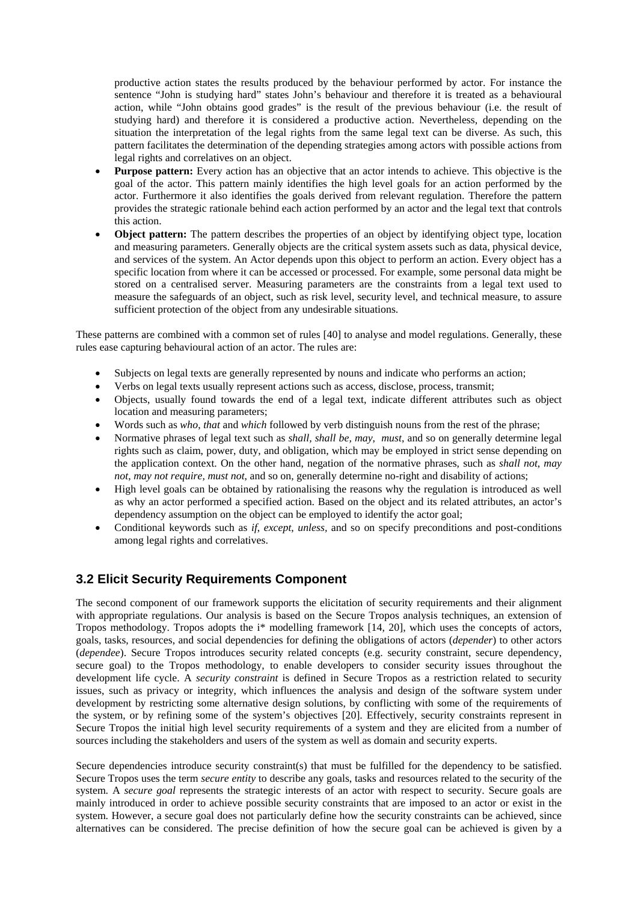productive action states the results produced by the behaviour performed by actor. For instance the sentence "John is studying hard" states John's behaviour and therefore it is treated as a behavioural action, while "John obtains good grades" is the result of the previous behaviour (i.e. the result of studying hard) and therefore it is considered a productive action. Nevertheless, depending on the situation the interpretation of the legal rights from the same legal text can be diverse. As such, this pattern facilitates the determination of the depending strategies among actors with possible actions from legal rights and correlatives on an object.

- **Purpose pattern:** Every action has an objective that an actor intends to achieve. This objective is the goal of the actor. This pattern mainly identifies the high level goals for an action performed by the actor. Furthermore it also identifies the goals derived from relevant regulation. Therefore the pattern provides the strategic rationale behind each action performed by an actor and the legal text that controls this action.
- **Object pattern:** The pattern describes the properties of an object by identifying object type, location and measuring parameters. Generally objects are the critical system assets such as data, physical device, and services of the system. An Actor depends upon this object to perform an action. Every object has a specific location from where it can be accessed or processed. For example, some personal data might be stored on a centralised server. Measuring parameters are the constraints from a legal text used to measure the safeguards of an object, such as risk level, security level, and technical measure, to assure sufficient protection of the object from any undesirable situations.

These patterns are combined with a common set of rules [40] to analyse and model regulations. Generally, these rules ease capturing behavioural action of an actor. The rules are:

- Subjects on legal texts are generally represented by nouns and indicate who performs an action;
- Verbs on legal texts usually represent actions such as access, disclose, process, transmit;
- Objects, usually found towards the end of a legal text, indicate different attributes such as object location and measuring parameters;
- Words such as *who*, *that* and *which* followed by verb distinguish nouns from the rest of the phrase;
- Normative phrases of legal text such as *shall, shall be, may*, *must*, and so on generally determine legal rights such as claim, power, duty, and obligation, which may be employed in strict sense depending on the application context. On the other hand, negation of the normative phrases, such as *shall not*, *may not, may not require, must not, and so on, generally determine no-right and disability of actions;*
- High level goals can be obtained by rationalising the reasons why the regulation is introduced as well as why an actor performed a specified action. Based on the object and its related attributes, an actor's dependency assumption on the object can be employed to identify the actor goal;
- Conditional keywords such as *if*, *except*, *unless,* and so on specify preconditions and post-conditions among legal rights and correlatives.

# **3.2 Elicit Security Requirements Component**

The second component of our framework supports the elicitation of security requirements and their alignment with appropriate regulations. Our analysis is based on the Secure Tropos analysis techniques, an extension of Tropos methodology. Tropos adopts the i\* modelling framework [14, 20], which uses the concepts of actors, goals, tasks, resources, and social dependencies for defining the obligations of actors (*depender*) to other actors (*dependee*). Secure Tropos introduces security related concepts (e.g. security constraint, secure dependency, secure goal) to the Tropos methodology, to enable developers to consider security issues throughout the development life cycle. A *security constraint* is defined in Secure Tropos as a restriction related to security issues, such as privacy or integrity, which influences the analysis and design of the software system under development by restricting some alternative design solutions, by conflicting with some of the requirements of the system, or by refining some of the system's objectives [20]. Effectively, security constraints represent in Secure Tropos the initial high level security requirements of a system and they are elicited from a number of sources including the stakeholders and users of the system as well as domain and security experts.

Secure dependencies introduce security constraint(s) that must be fulfilled for the dependency to be satisfied. Secure Tropos uses the term *secure entity* to describe any goals, tasks and resources related to the security of the system. A *secure goal* represents the strategic interests of an actor with respect to security. Secure goals are mainly introduced in order to achieve possible security constraints that are imposed to an actor or exist in the system. However, a secure goal does not particularly define how the security constraints can be achieved, since alternatives can be considered. The precise definition of how the secure goal can be achieved is given by a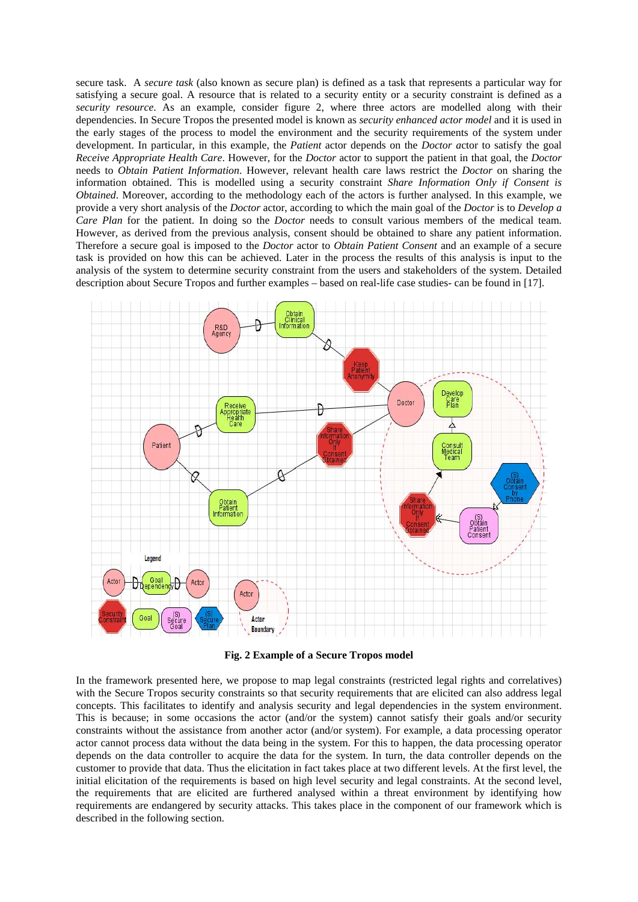secure task. A *secure task* (also known as secure plan) is defined as a task that represents a particular way for satisfying a secure goal. A resource that is related to a security entity or a security constraint is defined as a *security resource*. As an example, consider figure 2, where three actors are modelled along with their dependencies. In Secure Tropos the presented model is known as *security enhanced actor model* and it is used in the early stages of the process to model the environment and the security requirements of the system under development. In particular, in this example, the *Patient* actor depends on the *Doctor a*ctor to satisfy the goal *Receive Appropriate Health Care*. However, for the *Doctor* actor to support the patient in that goal, the *Doctor* needs to *Obtain Patient Information*. However, relevant health care laws restrict the *Doctor* on sharing the information obtained. This is modelled using a security constraint *Share Information Only if Consent is Obtained*. Moreover, according to the methodology each of the actors is further analysed. In this example, we provide a very short analysis of the *Doctor* actor, according to which the main goal of the *Doctor* is to *Develop a Care Plan* for the patient. In doing so the *Doctor* needs to consult various members of the medical team. However, as derived from the previous analysis, consent should be obtained to share any patient information. Therefore a secure goal is imposed to the *Doctor* actor to *Obtain Patient Consent* and an example of a secure task is provided on how this can be achieved. Later in the process the results of this analysis is input to the analysis of the system to determine security constraint from the users and stakeholders of the system. Detailed description about Secure Tropos and further examples – based on real-life case studies- can be found in [17].



**Fig. 2 Example of a Secure Tropos model** 

In the framework presented here, we propose to map legal constraints (restricted legal rights and correlatives) with the Secure Tropos security constraints so that security requirements that are elicited can also address legal concepts. This facilitates to identify and analysis security and legal dependencies in the system environment. This is because; in some occasions the actor (and/or the system) cannot satisfy their goals and/or security constraints without the assistance from another actor (and/or system). For example, a data processing operator actor cannot process data without the data being in the system. For this to happen, the data processing operator depends on the data controller to acquire the data for the system. In turn, the data controller depends on the customer to provide that data. Thus the elicitation in fact takes place at two different levels. At the first level, the initial elicitation of the requirements is based on high level security and legal constraints. At the second level, the requirements that are elicited are furthered analysed within a threat environment by identifying how requirements are endangered by security attacks. This takes place in the component of our framework which is described in the following section.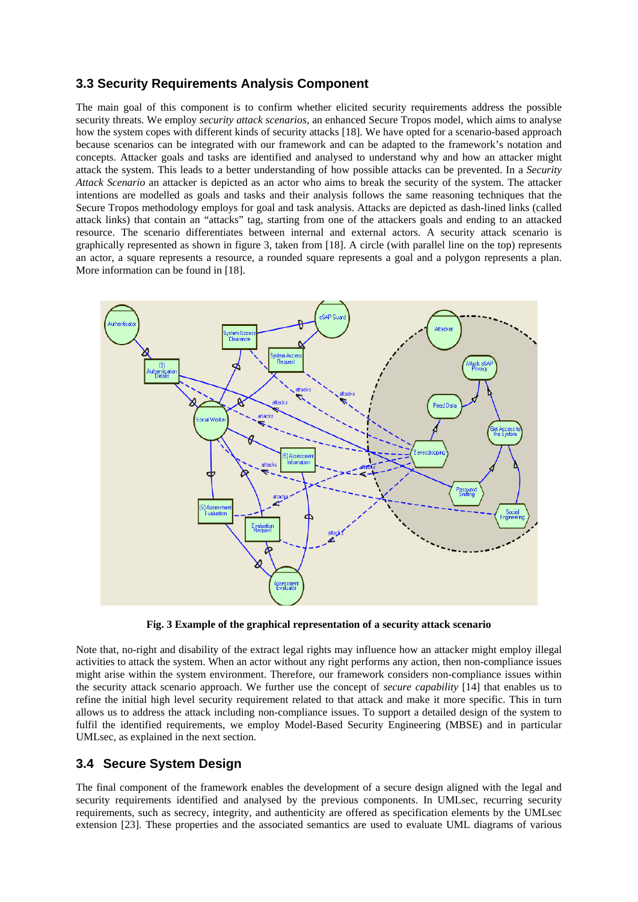# **3.3 Security Requirements Analysis Component**

The main goal of this component is to confirm whether elicited security requirements address the possible security threats. We employ *security attack scenarios*, an enhanced Secure Tropos model, which aims to analyse how the system copes with different kinds of security attacks [18]. We have opted for a scenario-based approach because scenarios can be integrated with our framework and can be adapted to the framework's notation and concepts. Attacker goals and tasks are identified and analysed to understand why and how an attacker might attack the system. This leads to a better understanding of how possible attacks can be prevented. In a *Security Attack Scenario* an attacker is depicted as an actor who aims to break the security of the system. The attacker intentions are modelled as goals and tasks and their analysis follows the same reasoning techniques that the Secure Tropos methodology employs for goal and task analysis. Attacks are depicted as dash-lined links (called attack links) that contain an "attacks" tag, starting from one of the attackers goals and ending to an attacked resource. The scenario differentiates between internal and external actors. A security attack scenario is graphically represented as shown in figure 3, taken from [18]. A circle (with parallel line on the top) represents an actor, a square represents a resource, a rounded square represents a goal and a polygon represents a plan. More information can be found in [18].



**Fig. 3 Example of the graphical representation of a security attack scenario** 

Note that, no-right and disability of the extract legal rights may influence how an attacker might employ illegal activities to attack the system. When an actor without any right performs any action, then non-compliance issues might arise within the system environment. Therefore, our framework considers non-compliance issues within the security attack scenario approach. We further use the concept of *secure capability* [14] that enables us to refine the initial high level security requirement related to that attack and make it more specific. This in turn allows us to address the attack including non-compliance issues. To support a detailed design of the system to fulfil the identified requirements, we employ Model-Based Security Engineering (MBSE) and in particular UMLsec, as explained in the next section.

# **3.4 Secure System Design**

The final component of the framework enables the development of a secure design aligned with the legal and security requirements identified and analysed by the previous components. In UMLsec, recurring security requirements, such as secrecy, integrity, and authenticity are offered as specification elements by the UMLsec extension [23]. These properties and the associated semantics are used to evaluate UML diagrams of various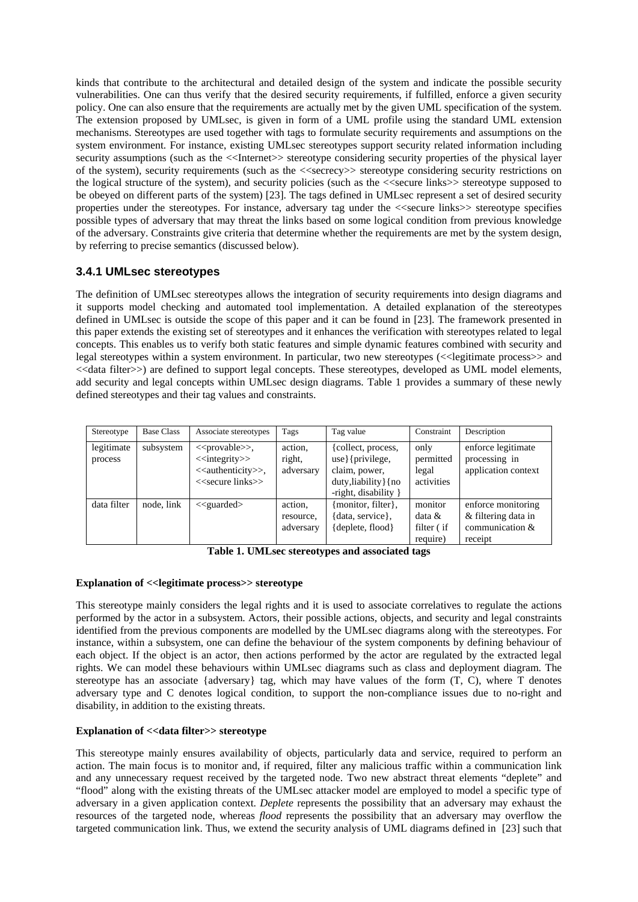kinds that contribute to the architectural and detailed design of the system and indicate the possible security vulnerabilities. One can thus verify that the desired security requirements, if fulfilled, enforce a given security policy. One can also ensure that the requirements are actually met by the given UML specification of the system. The extension proposed by UMLsec, is given in form of a UML profile using the standard UML extension mechanisms. Stereotypes are used together with tags to formulate security requirements and assumptions on the system environment. For instance, existing UMLsec stereotypes support security related information including security assumptions (such as the <<Internet>> stereotype considering security properties of the physical layer of the system), security requirements (such as the <<secrecy>> stereotype considering security restrictions on the logical structure of the system), and security policies (such as the <<secure links>> stereotype supposed to be obeyed on different parts of the system) [23]. The tags defined in UMLsec represent a set of desired security properties under the stereotypes. For instance, adversary tag under the <<secure links>> stereotype specifies possible types of adversary that may threat the links based on some logical condition from previous knowledge of the adversary. Constraints give criteria that determine whether the requirements are met by the system design, by referring to precise semantics (discussed below).

# **3.4.1 UMLsec stereotypes**

The definition of UMLsec stereotypes allows the integration of security requirements into design diagrams and it supports model checking and automated tool implementation. A detailed explanation of the stereotypes defined in UMLsec is outside the scope of this paper and it can be found in [23]. The framework presented in this paper extends the existing set of stereotypes and it enhances the verification with stereotypes related to legal concepts. This enables us to verify both static features and simple dynamic features combined with security and legal stereotypes within a system environment. In particular, two new stereotypes (<<legitimate process>> and <<data filter>>) are defined to support legal concepts. These stereotypes, developed as UML model elements, add security and legal concepts within UMLsec design diagrams. Table 1 provides a summary of these newly defined stereotypes and their tag values and constraints.

| Stereotype            | <b>Base Class</b> | Associate stereotypes                                                                                                                    | Tags                              | Tag value                                                                                                    | Constraint                                  | Description                                                             |
|-----------------------|-------------------|------------------------------------------------------------------------------------------------------------------------------------------|-----------------------------------|--------------------------------------------------------------------------------------------------------------|---------------------------------------------|-------------------------------------------------------------------------|
| legitimate<br>process | subsystem         | $<<$ provable>>.<br>$\le$ integrity>><br>< <authenticity>&gt;.<br/><math>&lt;&lt;</math>secure links<math>&gt;&gt;</math></authenticity> | action,<br>right,<br>adversary    | {collect, process,<br>$use$ }{privilege,<br>claim, power,<br>$duty, liability$ } {no<br>-right, disability } | only<br>permitted<br>legal<br>activities    | enforce legitimate<br>processing in<br>application context              |
| data filter           | node, link        | $<<$ guarded $>$                                                                                                                         | action.<br>resource,<br>adversary | {monitor, filter},<br>{data, service},<br>deplete, flood                                                     | monitor<br>data &<br>filter (if<br>require) | enforce monitoring<br>& filtering data in<br>communication &<br>receipt |

**Table 1. UMLsec stereotypes and associated tags** 

### **Explanation of <<legitimate process>> stereotype**

This stereotype mainly considers the legal rights and it is used to associate correlatives to regulate the actions performed by the actor in a subsystem. Actors, their possible actions, objects, and security and legal constraints identified from the previous components are modelled by the UMLsec diagrams along with the stereotypes. For instance, within a subsystem, one can define the behaviour of the system components by defining behaviour of each object. If the object is an actor, then actions performed by the actor are regulated by the extracted legal rights. We can model these behaviours within UMLsec diagrams such as class and deployment diagram. The stereotype has an associate {adversary} tag, which may have values of the form (T, C), where T denotes adversary type and C denotes logical condition, to support the non-compliance issues due to no-right and disability, in addition to the existing threats.

### Explanation of << data filter>> stereotype

This stereotype mainly ensures availability of objects, particularly data and service, required to perform an action. The main focus is to monitor and, if required, filter any malicious traffic within a communication link and any unnecessary request received by the targeted node. Two new abstract threat elements "deplete" and "flood" along with the existing threats of the UMLsec attacker model are employed to model a specific type of adversary in a given application context. *Deplete* represents the possibility that an adversary may exhaust the resources of the targeted node, whereas *flood* represents the possibility that an adversary may overflow the targeted communication link. Thus, we extend the security analysis of UML diagrams defined in [23] such that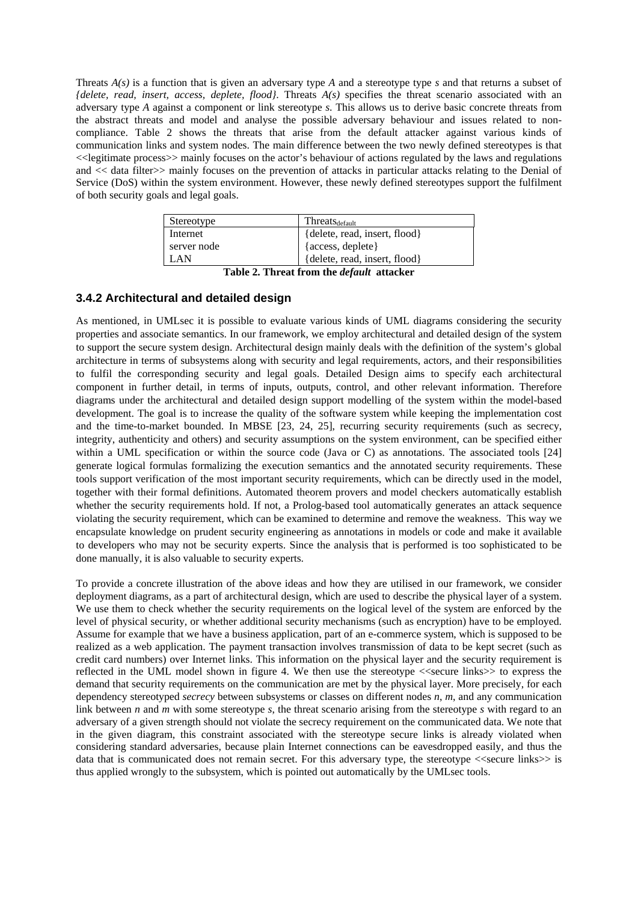Threats *A(s)* is a function that is given an adversary type *A* and a stereotype type *s* and that returns a subset of *{delete, read, insert, access, deplete, flood}*. Threats *A(s)* specifies the threat scenario associated with an adversary type *A* against a component or link stereotype *s*. This allows us to derive basic concrete threats from the abstract threats and model and analyse the possible adversary behaviour and issues related to noncompliance. Table 2 shows the threats that arise from the default attacker against various kinds of communication links and system nodes. The main difference between the two newly defined stereotypes is that <<legitimate process>> mainly focuses on the actor's behaviour of actions regulated by the laws and regulations and << data filter>> mainly focuses on the prevention of attacks in particular attacks relating to the Denial of Service (DoS) within the system environment. However, these newly defined stereotypes support the fulfilment of both security goals and legal goals.

| Stereotype  | $Threats_{default}$           |
|-------------|-------------------------------|
| Internet    | {delete, read, insert, flood} |
| server node | {access, deplete}             |
| LAN         | {delete, read, insert, flood} |

**Table 2. Threat from the** *default* **attacker**

### **3.4.2 Architectural and detailed design**

As mentioned, in UMLsec it is possible to evaluate various kinds of UML diagrams considering the security properties and associate semantics. In our framework, we employ architectural and detailed design of the system to support the secure system design. Architectural design mainly deals with the definition of the system's global architecture in terms of subsystems along with security and legal requirements, actors, and their responsibilities to fulfil the corresponding security and legal goals. Detailed Design aims to specify each architectural component in further detail, in terms of inputs, outputs, control, and other relevant information. Therefore diagrams under the architectural and detailed design support modelling of the system within the model-based development. The goal is to increase the quality of the software system while keeping the implementation cost and the time-to-market bounded. In MBSE [23, 24, 25], recurring security requirements (such as secrecy, integrity, authenticity and others) and security assumptions on the system environment, can be specified either within a UML specification or within the source code (Java or C) as annotations. The associated tools [24] generate logical formulas formalizing the execution semantics and the annotated security requirements. These tools support verification of the most important security requirements, which can be directly used in the model, together with their formal definitions. Automated theorem provers and model checkers automatically establish whether the security requirements hold. If not, a Prolog-based tool automatically generates an attack sequence violating the security requirement, which can be examined to determine and remove the weakness. This way we encapsulate knowledge on prudent security engineering as annotations in models or code and make it available to developers who may not be security experts. Since the analysis that is performed is too sophisticated to be done manually, it is also valuable to security experts.

To provide a concrete illustration of the above ideas and how they are utilised in our framework, we consider deployment diagrams, as a part of architectural design, which are used to describe the physical layer of a system. We use them to check whether the security requirements on the logical level of the system are enforced by the level of physical security, or whether additional security mechanisms (such as encryption) have to be employed. Assume for example that we have a business application, part of an e-commerce system, which is supposed to be realized as a web application. The payment transaction involves transmission of data to be kept secret (such as credit card numbers) over Internet links. This information on the physical layer and the security requirement is reflected in the UML model shown in figure 4. We then use the stereotype  $\ll$ secure links $\gg$  to express the demand that security requirements on the communication are met by the physical layer. More precisely, for each dependency stereotyped *secrecy* between subsystems or classes on different nodes *n*, *m*, and any communication link between *n* and *m* with some stereotype *s*, the threat scenario arising from the stereotype *s* with regard to an adversary of a given strength should not violate the secrecy requirement on the communicated data. We note that in the given diagram, this constraint associated with the stereotype secure links is already violated when considering standard adversaries, because plain Internet connections can be eavesdropped easily, and thus the data that is communicated does not remain secret. For this adversary type, the stereotype  $\ll$ secure links $\gg$  is thus applied wrongly to the subsystem, which is pointed out automatically by the UMLsec tools.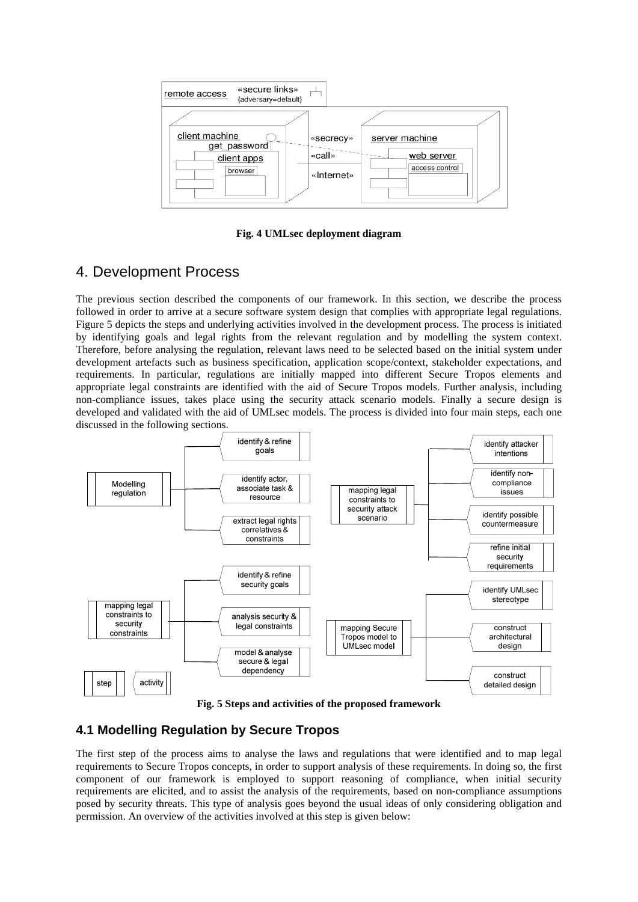

**Fig. 4 UMLsec deployment diagram** 

# 4. Development Process

The previous section described the components of our framework. In this section, we describe the process followed in order to arrive at a secure software system design that complies with appropriate legal regulations. Figure 5 depicts the steps and underlying activities involved in the development process. The process is initiated by identifying goals and legal rights from the relevant regulation and by modelling the system context. Therefore, before analysing the regulation, relevant laws need to be selected based on the initial system under development artefacts such as business specification, application scope/context, stakeholder expectations, and requirements. In particular, regulations are initially mapped into different Secure Tropos elements and appropriate legal constraints are identified with the aid of Secure Tropos models. Further analysis, including non-compliance issues, takes place using the security attack scenario models. Finally a secure design is developed and validated with the aid of UMLsec models. The process is divided into four main steps, each one discussed in the following sections.



**Fig. 5 Steps and activities of the proposed framework** 

# **4.1 Modelling Regulation by Secure Tropos**

The first step of the process aims to analyse the laws and regulations that were identified and to map legal requirements to Secure Tropos concepts, in order to support analysis of these requirements. In doing so, the first component of our framework is employed to support reasoning of compliance, when initial security requirements are elicited, and to assist the analysis of the requirements, based on non-compliance assumptions posed by security threats. This type of analysis goes beyond the usual ideas of only considering obligation and permission. An overview of the activities involved at this step is given below: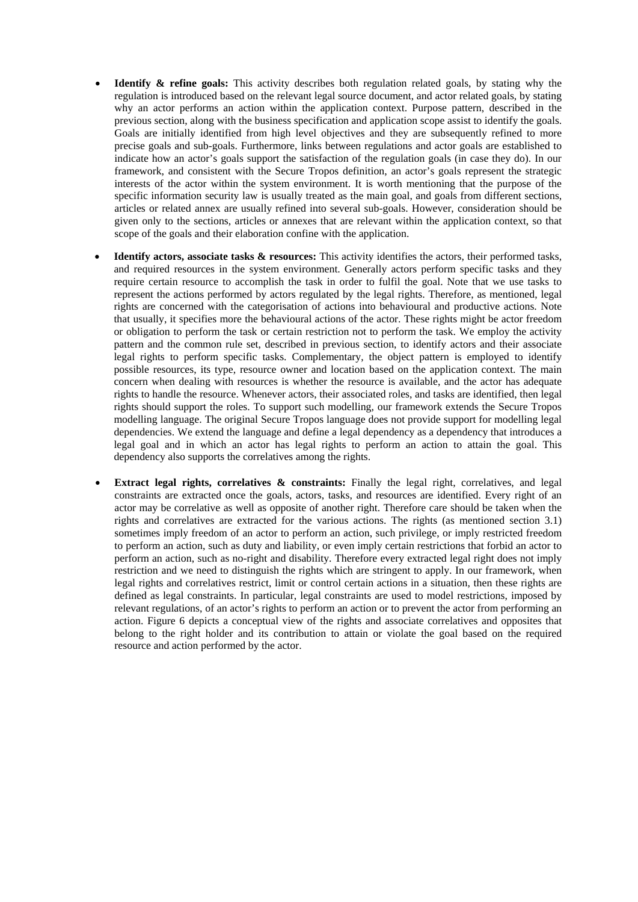- **Identify & refine goals:** This activity describes both regulation related goals, by stating why the regulation is introduced based on the relevant legal source document, and actor related goals, by stating why an actor performs an action within the application context. Purpose pattern, described in the previous section, along with the business specification and application scope assist to identify the goals. Goals are initially identified from high level objectives and they are subsequently refined to more precise goals and sub-goals. Furthermore, links between regulations and actor goals are established to indicate how an actor's goals support the satisfaction of the regulation goals (in case they do). In our framework, and consistent with the Secure Tropos definition, an actor's goals represent the strategic interests of the actor within the system environment. It is worth mentioning that the purpose of the specific information security law is usually treated as the main goal, and goals from different sections, articles or related annex are usually refined into several sub-goals. However, consideration should be given only to the sections, articles or annexes that are relevant within the application context, so that scope of the goals and their elaboration confine with the application.
- **Identify actors, associate tasks & resources:** This activity identifies the actors, their performed tasks, and required resources in the system environment. Generally actors perform specific tasks and they require certain resource to accomplish the task in order to fulfil the goal. Note that we use tasks to represent the actions performed by actors regulated by the legal rights. Therefore, as mentioned, legal rights are concerned with the categorisation of actions into behavioural and productive actions. Note that usually, it specifies more the behavioural actions of the actor. These rights might be actor freedom or obligation to perform the task or certain restriction not to perform the task. We employ the activity pattern and the common rule set, described in previous section, to identify actors and their associate legal rights to perform specific tasks. Complementary, the object pattern is employed to identify possible resources, its type, resource owner and location based on the application context. The main concern when dealing with resources is whether the resource is available, and the actor has adequate rights to handle the resource. Whenever actors, their associated roles, and tasks are identified, then legal rights should support the roles. To support such modelling, our framework extends the Secure Tropos modelling language. The original Secure Tropos language does not provide support for modelling legal dependencies. We extend the language and define a legal dependency as a dependency that introduces a legal goal and in which an actor has legal rights to perform an action to attain the goal. This dependency also supports the correlatives among the rights.
- **Extract legal rights, correlatives & constraints:** Finally the legal right, correlatives, and legal constraints are extracted once the goals, actors, tasks, and resources are identified. Every right of an actor may be correlative as well as opposite of another right. Therefore care should be taken when the rights and correlatives are extracted for the various actions. The rights (as mentioned section 3.1) sometimes imply freedom of an actor to perform an action, such privilege, or imply restricted freedom to perform an action, such as duty and liability, or even imply certain restrictions that forbid an actor to perform an action, such as no-right and disability. Therefore every extracted legal right does not imply restriction and we need to distinguish the rights which are stringent to apply. In our framework, when legal rights and correlatives restrict, limit or control certain actions in a situation, then these rights are defined as legal constraints. In particular, legal constraints are used to model restrictions, imposed by relevant regulations, of an actor's rights to perform an action or to prevent the actor from performing an action. Figure 6 depicts a conceptual view of the rights and associate correlatives and opposites that belong to the right holder and its contribution to attain or violate the goal based on the required resource and action performed by the actor.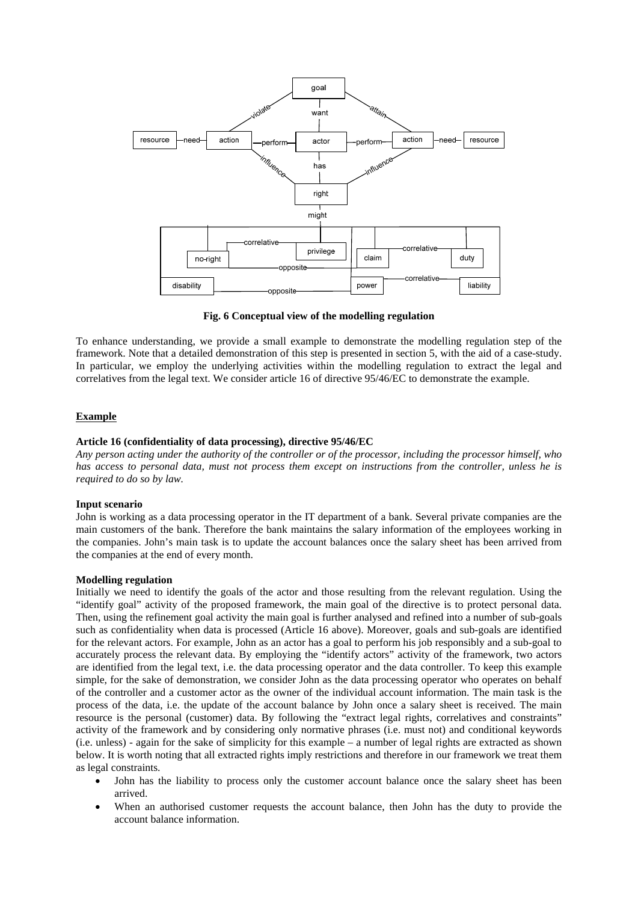

**Fig. 6 Conceptual view of the modelling regulation** 

To enhance understanding, we provide a small example to demonstrate the modelling regulation step of the framework. Note that a detailed demonstration of this step is presented in section 5, with the aid of a case-study. In particular, we employ the underlying activities within the modelling regulation to extract the legal and correlatives from the legal text. We consider article 16 of directive 95/46/EC to demonstrate the example.

### **Example**

#### **Article 16 (confidentiality of data processing), directive 95/46/EC**

*Any person acting under the authority of the controller or of the processor, including the processor himself, who has access to personal data, must not process them except on instructions from the controller, unless he is required to do so by law.* 

#### **Input scenario**

John is working as a data processing operator in the IT department of a bank. Several private companies are the main customers of the bank. Therefore the bank maintains the salary information of the employees working in the companies. John's main task is to update the account balances once the salary sheet has been arrived from the companies at the end of every month.

#### **Modelling regulation**

Initially we need to identify the goals of the actor and those resulting from the relevant regulation. Using the "identify goal" activity of the proposed framework, the main goal of the directive is to protect personal data. Then, using the refinement goal activity the main goal is further analysed and refined into a number of sub-goals such as confidentiality when data is processed (Article 16 above). Moreover, goals and sub-goals are identified for the relevant actors. For example, John as an actor has a goal to perform his job responsibly and a sub-goal to accurately process the relevant data. By employing the "identify actors" activity of the framework, two actors are identified from the legal text, i.e. the data processing operator and the data controller. To keep this example simple, for the sake of demonstration, we consider John as the data processing operator who operates on behalf of the controller and a customer actor as the owner of the individual account information. The main task is the process of the data, i.e. the update of the account balance by John once a salary sheet is received. The main resource is the personal (customer) data. By following the "extract legal rights, correlatives and constraints" activity of the framework and by considering only normative phrases (i.e. must not) and conditional keywords (i.e. unless) - again for the sake of simplicity for this example – a number of legal rights are extracted as shown below. It is worth noting that all extracted rights imply restrictions and therefore in our framework we treat them as legal constraints.

- John has the liability to process only the customer account balance once the salary sheet has been arrived.
- When an authorised customer requests the account balance, then John has the duty to provide the account balance information.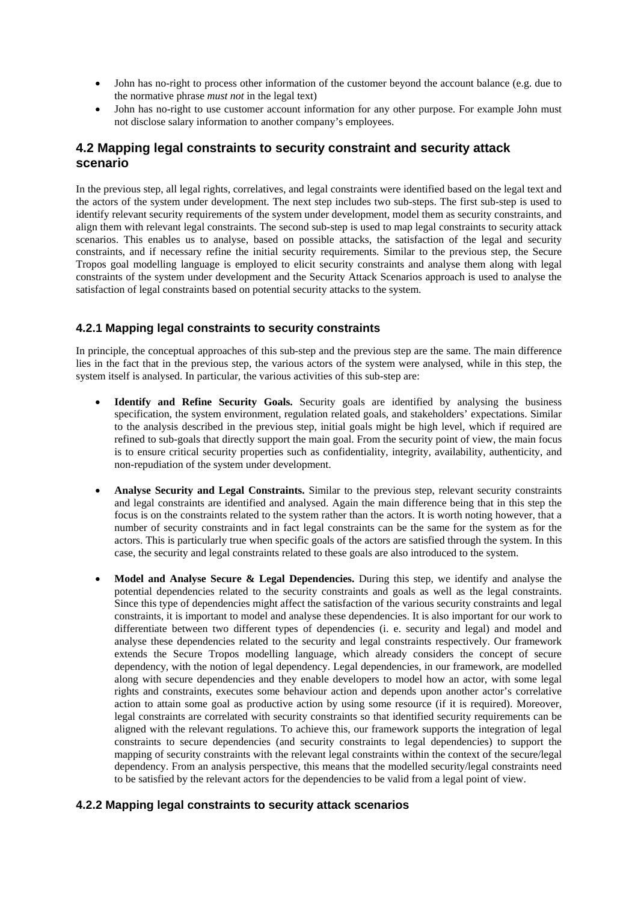- John has no-right to process other information of the customer beyond the account balance (e.g. due to the normative phrase *must not* in the legal text)
- John has no-right to use customer account information for any other purpose. For example John must not disclose salary information to another company's employees.

# **4.2 Mapping legal constraints to security constraint and security attack scenario**

In the previous step, all legal rights, correlatives, and legal constraints were identified based on the legal text and the actors of the system under development. The next step includes two sub-steps. The first sub-step is used to identify relevant security requirements of the system under development, model them as security constraints, and align them with relevant legal constraints. The second sub-step is used to map legal constraints to security attack scenarios. This enables us to analyse, based on possible attacks, the satisfaction of the legal and security constraints, and if necessary refine the initial security requirements. Similar to the previous step, the Secure Tropos goal modelling language is employed to elicit security constraints and analyse them along with legal constraints of the system under development and the Security Attack Scenarios approach is used to analyse the satisfaction of legal constraints based on potential security attacks to the system.

# **4.2.1 Mapping legal constraints to security constraints**

In principle, the conceptual approaches of this sub-step and the previous step are the same. The main difference lies in the fact that in the previous step, the various actors of the system were analysed, while in this step, the system itself is analysed. In particular, the various activities of this sub-step are:

- **Identify and Refine Security Goals.** Security goals are identified by analysing the business specification, the system environment, regulation related goals, and stakeholders' expectations. Similar to the analysis described in the previous step, initial goals might be high level, which if required are refined to sub-goals that directly support the main goal. From the security point of view, the main focus is to ensure critical security properties such as confidentiality, integrity, availability, authenticity, and non-repudiation of the system under development.
- **Analyse Security and Legal Constraints.** Similar to the previous step, relevant security constraints and legal constraints are identified and analysed. Again the main difference being that in this step the focus is on the constraints related to the system rather than the actors. It is worth noting however, that a number of security constraints and in fact legal constraints can be the same for the system as for the actors. This is particularly true when specific goals of the actors are satisfied through the system. In this case, the security and legal constraints related to these goals are also introduced to the system.
- **Model and Analyse Secure & Legal Dependencies.** During this step, we identify and analyse the potential dependencies related to the security constraints and goals as well as the legal constraints. Since this type of dependencies might affect the satisfaction of the various security constraints and legal constraints, it is important to model and analyse these dependencies. It is also important for our work to differentiate between two different types of dependencies (i. e. security and legal) and model and analyse these dependencies related to the security and legal constraints respectively. Our framework extends the Secure Tropos modelling language, which already considers the concept of secure dependency, with the notion of legal dependency. Legal dependencies, in our framework, are modelled along with secure dependencies and they enable developers to model how an actor, with some legal rights and constraints, executes some behaviour action and depends upon another actor's correlative action to attain some goal as productive action by using some resource (if it is required). Moreover, legal constraints are correlated with security constraints so that identified security requirements can be aligned with the relevant regulations. To achieve this, our framework supports the integration of legal constraints to secure dependencies (and security constraints to legal dependencies) to support the mapping of security constraints with the relevant legal constraints within the context of the secure/legal dependency. From an analysis perspective, this means that the modelled security/legal constraints need to be satisfied by the relevant actors for the dependencies to be valid from a legal point of view.

# **4.2.2 Mapping legal constraints to security attack scenarios**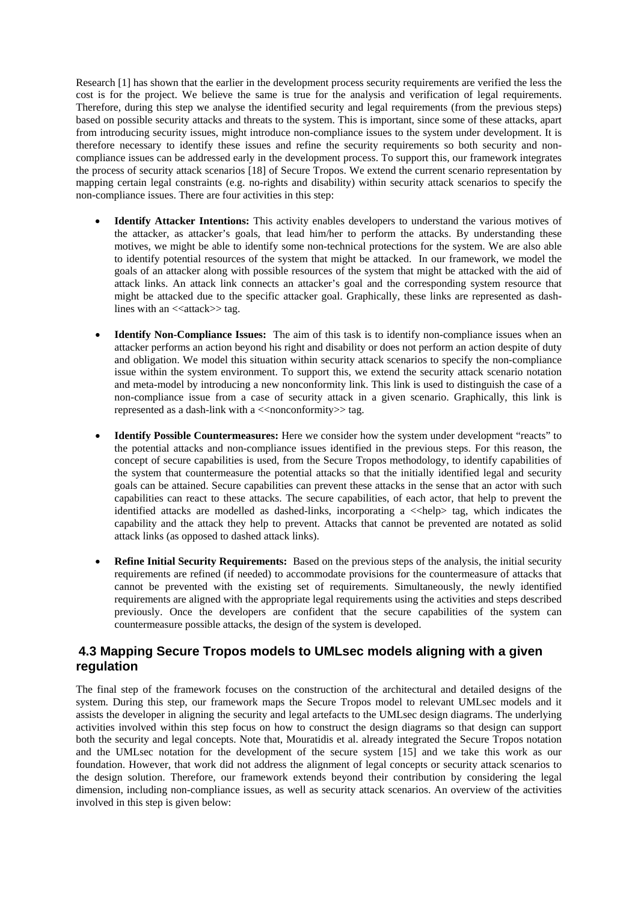Research [1] has shown that the earlier in the development process security requirements are verified the less the cost is for the project. We believe the same is true for the analysis and verification of legal requirements. Therefore, during this step we analyse the identified security and legal requirements (from the previous steps) based on possible security attacks and threats to the system. This is important, since some of these attacks, apart from introducing security issues, might introduce non-compliance issues to the system under development. It is therefore necessary to identify these issues and refine the security requirements so both security and noncompliance issues can be addressed early in the development process. To support this, our framework integrates the process of security attack scenarios [18] of Secure Tropos. We extend the current scenario representation by mapping certain legal constraints (e.g. no-rights and disability) within security attack scenarios to specify the non-compliance issues. There are four activities in this step:

- **Identify Attacker Intentions:** This activity enables developers to understand the various motives of the attacker, as attacker's goals, that lead him/her to perform the attacks. By understanding these motives, we might be able to identify some non-technical protections for the system. We are also able to identify potential resources of the system that might be attacked. In our framework, we model the goals of an attacker along with possible resources of the system that might be attacked with the aid of attack links. An attack link connects an attacker's goal and the corresponding system resource that might be attacked due to the specific attacker goal. Graphically, these links are represented as dashlines with an  $\leq$  attack $\geq$  tag.
- **Identify Non-Compliance Issues:** The aim of this task is to identify non-compliance issues when an attacker performs an action beyond his right and disability or does not perform an action despite of duty and obligation. We model this situation within security attack scenarios to specify the non-compliance issue within the system environment. To support this, we extend the security attack scenario notation and meta-model by introducing a new nonconformity link. This link is used to distinguish the case of a non-compliance issue from a case of security attack in a given scenario. Graphically, this link is represented as a dash-link with a  $\langle\langle$  -chance of  $\langle x,y\rangle$  tag.
- **Identify Possible Countermeasures:** Here we consider how the system under development "reacts" to the potential attacks and non-compliance issues identified in the previous steps. For this reason, the concept of secure capabilities is used, from the Secure Tropos methodology, to identify capabilities of the system that countermeasure the potential attacks so that the initially identified legal and security goals can be attained. Secure capabilities can prevent these attacks in the sense that an actor with such capabilities can react to these attacks. The secure capabilities, of each actor, that help to prevent the identified attacks are modelled as dashed-links, incorporating a <<help> tag, which indicates the capability and the attack they help to prevent. Attacks that cannot be prevented are notated as solid attack links (as opposed to dashed attack links).
- **Refine Initial Security Requirements:** Based on the previous steps of the analysis, the initial security requirements are refined (if needed) to accommodate provisions for the countermeasure of attacks that cannot be prevented with the existing set of requirements. Simultaneously, the newly identified requirements are aligned with the appropriate legal requirements using the activities and steps described previously. Once the developers are confident that the secure capabilities of the system can countermeasure possible attacks, the design of the system is developed.

# **4.3 Mapping Secure Tropos models to UMLsec models aligning with a given regulation**

The final step of the framework focuses on the construction of the architectural and detailed designs of the system. During this step, our framework maps the Secure Tropos model to relevant UMLsec models and it assists the developer in aligning the security and legal artefacts to the UMLsec design diagrams. The underlying activities involved within this step focus on how to construct the design diagrams so that design can support both the security and legal concepts. Note that, Mouratidis et al. already integrated the Secure Tropos notation and the UMLsec notation for the development of the secure system [15] and we take this work as our foundation. However, that work did not address the alignment of legal concepts or security attack scenarios to the design solution. Therefore, our framework extends beyond their contribution by considering the legal dimension, including non-compliance issues, as well as security attack scenarios. An overview of the activities involved in this step is given below: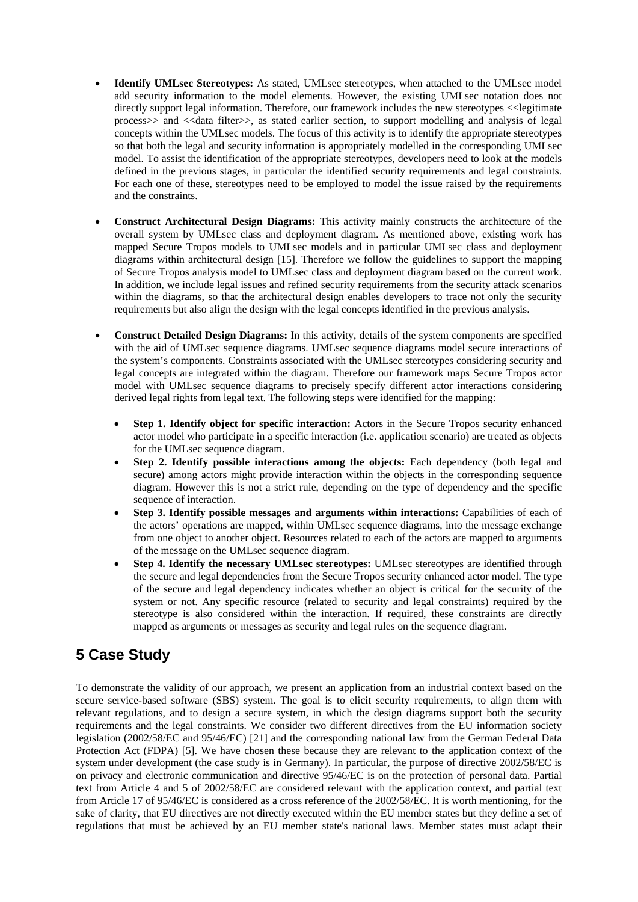- **Identify UMLsec Stereotypes:** As stated, UMLsec stereotypes, when attached to the UMLsec model add security information to the model elements. However, the existing UMLsec notation does not directly support legal information. Therefore, our framework includes the new stereotypes <<legitimate process>> and <<data filter>>, as stated earlier section, to support modelling and analysis of legal concepts within the UMLsec models. The focus of this activity is to identify the appropriate stereotypes so that both the legal and security information is appropriately modelled in the corresponding UMLsec model. To assist the identification of the appropriate stereotypes, developers need to look at the models defined in the previous stages, in particular the identified security requirements and legal constraints. For each one of these, stereotypes need to be employed to model the issue raised by the requirements and the constraints.
- **Construct Architectural Design Diagrams:** This activity mainly constructs the architecture of the overall system by UMLsec class and deployment diagram. As mentioned above, existing work has mapped Secure Tropos models to UMLsec models and in particular UMLsec class and deployment diagrams within architectural design [15]. Therefore we follow the guidelines to support the mapping of Secure Tropos analysis model to UMLsec class and deployment diagram based on the current work. In addition, we include legal issues and refined security requirements from the security attack scenarios within the diagrams, so that the architectural design enables developers to trace not only the security requirements but also align the design with the legal concepts identified in the previous analysis.
- **Construct Detailed Design Diagrams:** In this activity, details of the system components are specified with the aid of UMLsec sequence diagrams. UMLsec sequence diagrams model secure interactions of the system's components. Constraints associated with the UMLsec stereotypes considering security and legal concepts are integrated within the diagram. Therefore our framework maps Secure Tropos actor model with UMLsec sequence diagrams to precisely specify different actor interactions considering derived legal rights from legal text. The following steps were identified for the mapping:
	- **Step 1. Identify object for specific interaction:** Actors in the Secure Tropos security enhanced actor model who participate in a specific interaction (i.e. application scenario) are treated as objects for the UMLsec sequence diagram.
	- **Step 2. Identify possible interactions among the objects:** Each dependency (both legal and secure) among actors might provide interaction within the objects in the corresponding sequence diagram. However this is not a strict rule, depending on the type of dependency and the specific sequence of interaction.
	- **Step 3. Identify possible messages and arguments within interactions:** Capabilities of each of the actors' operations are mapped, within UMLsec sequence diagrams, into the message exchange from one object to another object. Resources related to each of the actors are mapped to arguments of the message on the UMLsec sequence diagram.
	- **Step 4. Identify the necessary UMLsec stereotypes:** UMLsec stereotypes are identified through the secure and legal dependencies from the Secure Tropos security enhanced actor model. The type of the secure and legal dependency indicates whether an object is critical for the security of the system or not. Any specific resource (related to security and legal constraints) required by the stereotype is also considered within the interaction. If required, these constraints are directly mapped as arguments or messages as security and legal rules on the sequence diagram.

# **5 Case Study**

To demonstrate the validity of our approach, we present an application from an industrial context based on the secure service-based software (SBS) system. The goal is to elicit security requirements, to align them with relevant regulations, and to design a secure system, in which the design diagrams support both the security requirements and the legal constraints. We consider two different directives from the EU information society legislation (2002/58/EC and 95/46/EC) [21] and the corresponding national law from the German Federal Data Protection Act (FDPA) [5]. We have chosen these because they are relevant to the application context of the system under development (the case study is in Germany). In particular, the purpose of directive 2002/58/EC is on privacy and electronic communication and directive 95/46/EC is on the protection of personal data. Partial text from Article 4 and 5 of 2002/58/EC are considered relevant with the application context, and partial text from Article 17 of 95/46/EC is considered as a cross reference of the 2002/58/EC. It is worth mentioning, for the sake of clarity, that EU directives are not directly executed within the EU member states but they define a set of regulations that must be achieved by an EU member state's national laws. Member states must adapt their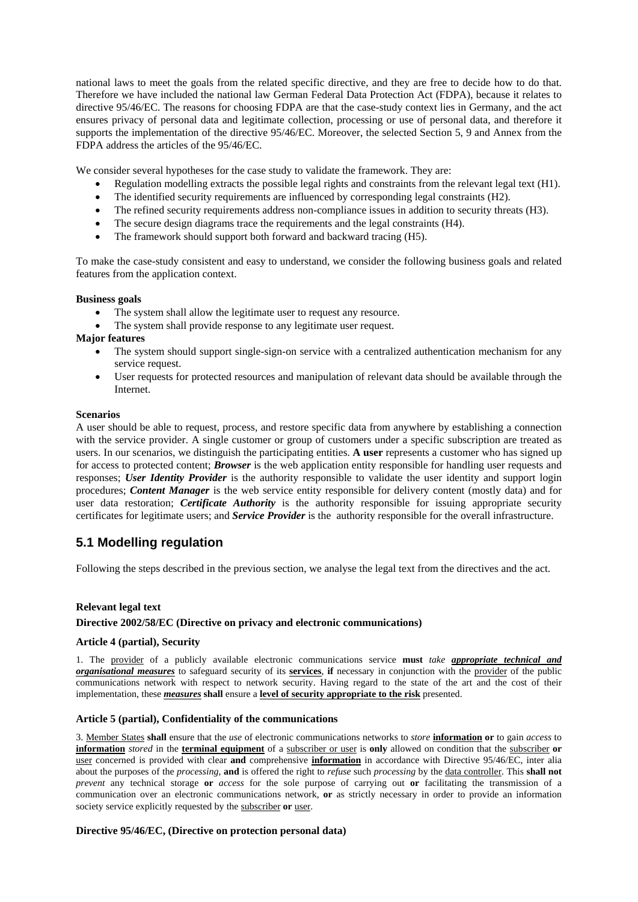national laws to meet the goals from the related specific directive, and they are free to decide how to do that. Therefore we have included the national law German Federal Data Protection Act (FDPA), because it relates to directive 95/46/EC. The reasons for choosing FDPA are that the case-study context lies in Germany, and the act ensures privacy of personal data and legitimate collection, processing or use of personal data, and therefore it supports the implementation of the directive 95/46/EC. Moreover, the selected Section 5, 9 and Annex from the FDPA address the articles of the 95/46/EC.

We consider several hypotheses for the case study to validate the framework. They are:

- Regulation modelling extracts the possible legal rights and constraints from the relevant legal text (H1).
- The identified security requirements are influenced by corresponding legal constraints (H2).
- The refined security requirements address non-compliance issues in addition to security threats (H3).
- The secure design diagrams trace the requirements and the legal constraints (H4).
- The framework should support both forward and backward tracing (H5).

To make the case-study consistent and easy to understand, we consider the following business goals and related features from the application context.

### **Business goals**

- The system shall allow the legitimate user to request any resource.
- The system shall provide response to any legitimate user request.

### **Major features**

- The system should support single-sign-on service with a centralized authentication mechanism for any service request.
- User requests for protected resources and manipulation of relevant data should be available through the Internet.

#### **Scenarios**

A user should be able to request, process, and restore specific data from anywhere by establishing a connection with the service provider. A single customer or group of customers under a specific subscription are treated as users. In our scenarios, we distinguish the participating entities. **A user** represents a customer who has signed up for access to protected content; *Browser* is the web application entity responsible for handling user requests and responses; *User Identity Provider* is the authority responsible to validate the user identity and support login procedures; *Content Manager* is the web service entity responsible for delivery content (mostly data) and for user data restoration; *Certificate Authority* is the authority responsible for issuing appropriate security certificates for legitimate users; and *Service Provider* is the authority responsible for the overall infrastructure.

# **5.1 Modelling regulation**

Following the steps described in the previous section, we analyse the legal text from the directives and the act.

### **Relevant legal text**

### **Directive 2002/58/EC (Directive on privacy and electronic communications)**

#### **Article 4 (partial), Security**

1. The provider of a publicly available electronic communications service **must** *take appropriate technical and organisational measures* to safeguard security of its **services**, **if** necessary in conjunction with the provider of the public communications network with respect to network security. Having regard to the state of the art and the cost of their implementation, these *measures* **shall** ensure a **level of security appropriate to the risk** presented.

### **Article 5 (partial), Confidentiality of the communications**

3. Member States **shall** ensure that the *use* of electronic communications networks to *store* **information or** to gain *access* to **information** *stored* in the **terminal equipment** of a subscriber or user is **only** allowed on condition that the subscriber **or**  user concerned is provided with clear **and** comprehensive **information** in accordance with Directive 95/46/EC, inter alia about the purposes of the *processing*, **and** is offered the right to *refuse* such *processing* by the data controller. This **shall not** *prevent* any technical storage **or** *access* for the sole purpose of carrying out **or** facilitating the transmission of a communication over an electronic communications network, **or** as strictly necessary in order to provide an information society service explicitly requested by the subscriber **or** user.

### **Directive 95/46/EC, (Directive on protection personal data)**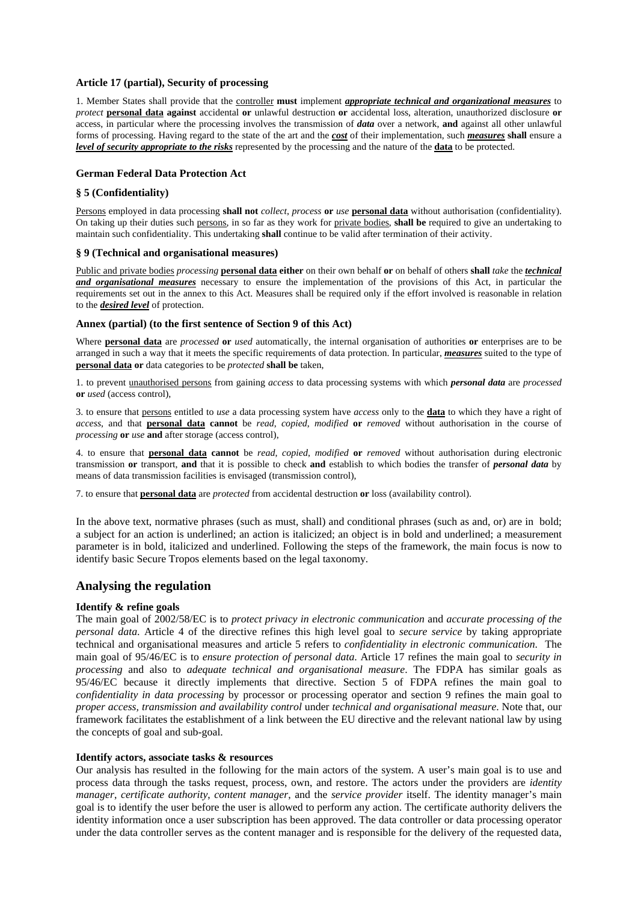#### **Article 17 (partial), Security of processing**

1. Member States shall provide that the controller **must** implement *appropriate technical and organizational measures* to *protect* **personal data against** accidental **or** unlawful destruction **or** accidental loss, alteration, unauthorized disclosure **or**  access, in particular where the processing involves the transmission of *data* over a network, **and** against all other unlawful forms of processing. Having regard to the state of the art and the *cost* of their implementation, such *measures* **shall** ensure a *level of security appropriate to the risks* represented by the processing and the nature of the **data** to be protected.

#### **German Federal Data Protection Act**

### **§ 5 (Confidentiality)**

Persons employed in data processing **shall not** *collect*, *process* **or** *use* **personal data** without authorisation (confidentiality). On taking up their duties such persons, in so far as they work for private bodies, **shall be** required to give an undertaking to maintain such confidentiality. This undertaking **shall** continue to be valid after termination of their activity.

#### **§ 9 (Technical and organisational measures)**

Public and private bodies *processing* **personal data either** on their own behalf **or** on behalf of others **shall** *take* the *technical and organisational measures* necessary to ensure the implementation of the provisions of this Act, in particular the requirements set out in the annex to this Act. Measures shall be required only if the effort involved is reasonable in relation to the *desired level* of protection.

#### **Annex (partial) (to the first sentence of Section 9 of this Act)**

Where **personal data** are *processed* **or** *used* automatically, the internal organisation of authorities **or** enterprises are to be arranged in such a way that it meets the specific requirements of data protection. In particular, *measures* suited to the type of **personal data or** data categories to be *protected* **shall be** taken,

1. to prevent unauthorised persons from gaining *access* to data processing systems with which *personal data* are *processed*  **or** *used* (access control),

3. to ensure that persons entitled to *use* a data processing system have *access* only to the **data** to which they have a right of *access*, and that **personal data cannot** be *read*, *copied*, *modified* **or** *removed* without authorisation in the course of *processing* **or** *use* **and** after storage (access control),

4. to ensure that **personal data cannot** be *read*, *copied*, *modified* **or** *removed* without authorisation during electronic transmission **or** transport, **and** that it is possible to check **and** establish to which bodies the transfer of *personal data* by means of data transmission facilities is envisaged (transmission control),

7. to ensure that **personal data** are *protected* from accidental destruction **or** loss (availability control).

In the above text, normative phrases (such as must, shall) and conditional phrases (such as and, or) are in bold; a subject for an action is underlined; an action is italicized; an object is in bold and underlined; a measurement parameter is in bold, italicized and underlined. Following the steps of the framework, the main focus is now to identify basic Secure Tropos elements based on the legal taxonomy.

### **Analysing the regulation**

### **Identify & refine goals**

The main goal of 2002/58/EC is to *protect privacy in electronic communication* and *accurate processing of the personal data*. Article 4 of the directive refines this high level goal to *secure service* by taking appropriate technical and organisational measures and article 5 refers to *confidentiality in electronic communication*. The main goal of 95/46/EC is to *ensure protection of personal data*. Article 17 refines the main goal to *security in processing* and also to *adequate technical and organisational measure*. The FDPA has similar goals as 95/46/EC because it directly implements that directive. Section 5 of FDPA refines the main goal to *confidentiality in data processing* by processor or processing operator and section 9 refines the main goal to *proper access, transmission and availability control* under *technical and organisational measure*. Note that, our framework facilitates the establishment of a link between the EU directive and the relevant national law by using the concepts of goal and sub-goal.

#### **Identify actors, associate tasks & resources**

Our analysis has resulted in the following for the main actors of the system. A user's main goal is to use and process data through the tasks request, process, own, and restore. The actors under the providers are *identity manager*, *certificate authority*, *content manager*, and the *service provider* itself. The identity manager's main goal is to identify the user before the user is allowed to perform any action. The certificate authority delivers the identity information once a user subscription has been approved. The data controller or data processing operator under the data controller serves as the content manager and is responsible for the delivery of the requested data,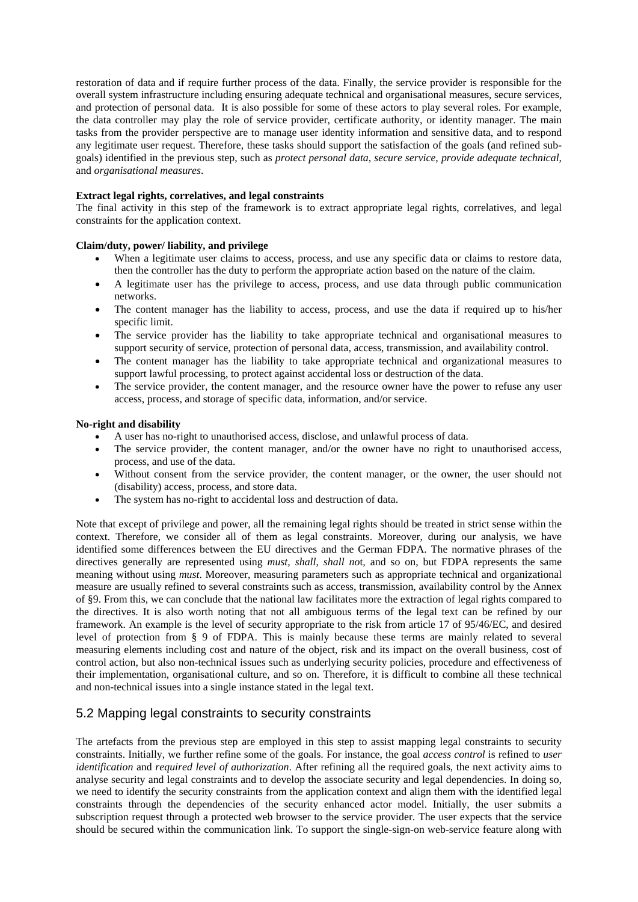restoration of data and if require further process of the data. Finally, the service provider is responsible for the overall system infrastructure including ensuring adequate technical and organisational measures, secure services, and protection of personal data. It is also possible for some of these actors to play several roles. For example, the data controller may play the role of service provider, certificate authority, or identity manager. The main tasks from the provider perspective are to manage user identity information and sensitive data, and to respond any legitimate user request. Therefore, these tasks should support the satisfaction of the goals (and refined subgoals) identified in the previous step, such as *protect personal data*, *secure service*, *provide adequate technical,*  and *organisational measures*.

### **Extract legal rights, correlatives, and legal constraints**

The final activity in this step of the framework is to extract appropriate legal rights, correlatives, and legal constraints for the application context.

#### **Claim/duty, power/ liability, and privilege**

- When a legitimate user claims to access, process, and use any specific data or claims to restore data, then the controller has the duty to perform the appropriate action based on the nature of the claim.
- A legitimate user has the privilege to access, process, and use data through public communication networks.
- The content manager has the liability to access, process, and use the data if required up to his/her specific limit.
- The service provider has the liability to take appropriate technical and organisational measures to support security of service, protection of personal data, access, transmission, and availability control.
- The content manager has the liability to take appropriate technical and organizational measures to support lawful processing, to protect against accidental loss or destruction of the data.
- The service provider, the content manager, and the resource owner have the power to refuse any user access, process, and storage of specific data, information, and/or service.

#### **No-right and disability**

- A user has no-right to unauthorised access, disclose, and unlawful process of data.
- The service provider, the content manager, and/or the owner have no right to unauthorised access, process, and use of the data.
- Without consent from the service provider, the content manager, or the owner, the user should not (disability) access, process, and store data.
- The system has no-right to accidental loss and destruction of data.

Note that except of privilege and power, all the remaining legal rights should be treated in strict sense within the context. Therefore, we consider all of them as legal constraints. Moreover, during our analysis, we have identified some differences between the EU directives and the German FDPA. The normative phrases of the directives generally are represented using *must*, *shall*, *shall no*t*,* and so on, but FDPA represents the same meaning without using *must*. Moreover, measuring parameters such as appropriate technical and organizational measure are usually refined to several constraints such as access, transmission, availability control by the Annex of §9. From this, we can conclude that the national law facilitates more the extraction of legal rights compared to the directives. It is also worth noting that not all ambiguous terms of the legal text can be refined by our framework. An example is the level of security appropriate to the risk from article 17 of 95/46/EC, and desired level of protection from § 9 of FDPA. This is mainly because these terms are mainly related to several measuring elements including cost and nature of the object, risk and its impact on the overall business, cost of control action, but also non-technical issues such as underlying security policies, procedure and effectiveness of their implementation, organisational culture, and so on. Therefore, it is difficult to combine all these technical and non-technical issues into a single instance stated in the legal text.

### 5.2 Mapping legal constraints to security constraints

The artefacts from the previous step are employed in this step to assist mapping legal constraints to security constraints. Initially, we further refine some of the goals. For instance, the goal *access control* is refined to *user identification* and *required level of authorization*. After refining all the required goals, the next activity aims to analyse security and legal constraints and to develop the associate security and legal dependencies. In doing so, we need to identify the security constraints from the application context and align them with the identified legal constraints through the dependencies of the security enhanced actor model. Initially, the user submits a subscription request through a protected web browser to the service provider. The user expects that the service should be secured within the communication link. To support the single-sign-on web-service feature along with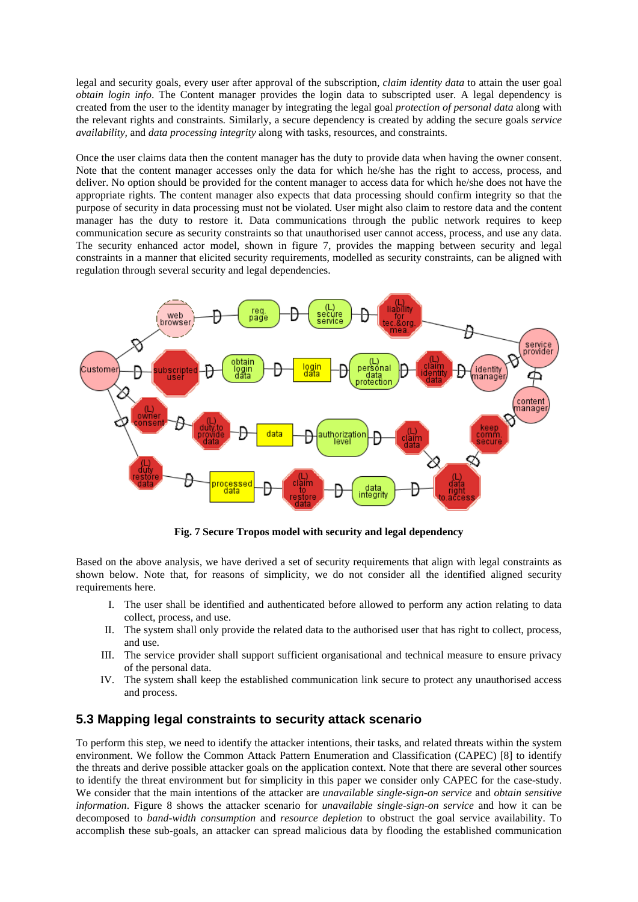legal and security goals, every user after approval of the subscription, *claim identity data* to attain the user goal *obtain login info*. The Content manager provides the login data to subscripted user*.* A legal dependency is created from the user to the identity manager by integrating the legal goal *protection of personal data* along with the relevant rights and constraints*.* Similarly, a secure dependency is created by adding the secure goals *service availability,* and *data processing integrity* along with tasks, resources, and constraints.

Once the user claims data then the content manager has the duty to provide data when having the owner consent. Note that the content manager accesses only the data for which he/she has the right to access, process, and deliver. No option should be provided for the content manager to access data for which he/she does not have the appropriate rights. The content manager also expects that data processing should confirm integrity so that the purpose of security in data processing must not be violated. User might also claim to restore data and the content manager has the duty to restore it. Data communications through the public network requires to keep communication secure as security constraints so that unauthorised user cannot access, process, and use any data. The security enhanced actor model, shown in figure 7, provides the mapping between security and legal constraints in a manner that elicited security requirements, modelled as security constraints, can be aligned with regulation through several security and legal dependencies.



**Fig. 7 Secure Tropos model with security and legal dependency** 

Based on the above analysis, we have derived a set of security requirements that align with legal constraints as shown below. Note that, for reasons of simplicity, we do not consider all the identified aligned security requirements here.

- I. The user shall be identified and authenticated before allowed to perform any action relating to data collect, process, and use.
- II. The system shall only provide the related data to the authorised user that has right to collect, process, and use.
- III. The service provider shall support sufficient organisational and technical measure to ensure privacy of the personal data.
- IV. The system shall keep the established communication link secure to protect any unauthorised access and process.

# **5.3 Mapping legal constraints to security attack scenario**

To perform this step, we need to identify the attacker intentions, their tasks, and related threats within the system environment. We follow the Common Attack Pattern Enumeration and Classification (CAPEC) [8] to identify the threats and derive possible attacker goals on the application context. Note that there are several other sources to identify the threat environment but for simplicity in this paper we consider only CAPEC for the case-study. We consider that the main intentions of the attacker are *unavailable single-sign-on service* and *obtain sensitive information*. Figure 8 shows the attacker scenario for *unavailable single-sign-on service* and how it can be decomposed to *band-width consumption* and *resource depletion* to obstruct the goal service availability. To accomplish these sub-goals, an attacker can spread malicious data by flooding the established communication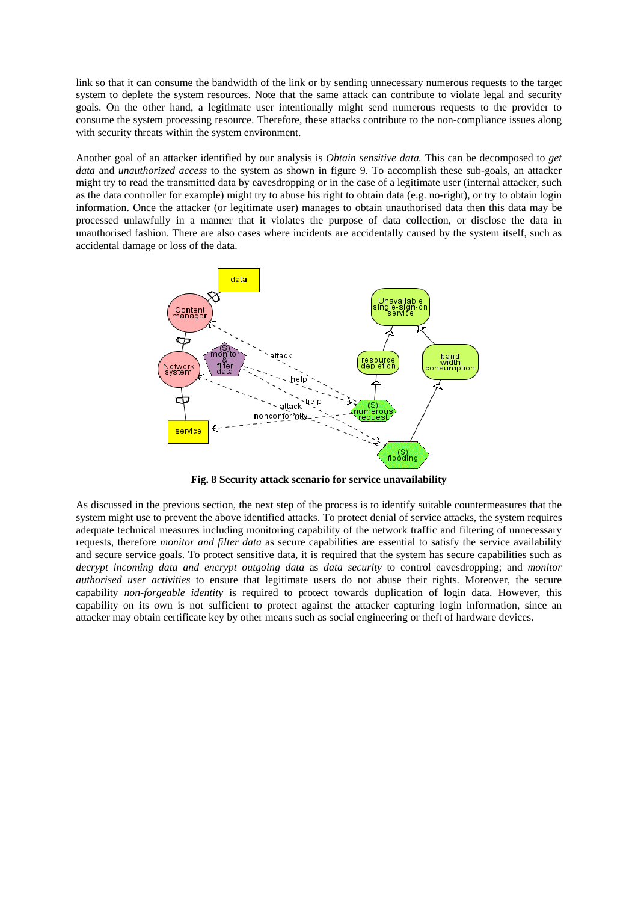link so that it can consume the bandwidth of the link or by sending unnecessary numerous requests to the target system to deplete the system resources. Note that the same attack can contribute to violate legal and security goals. On the other hand, a legitimate user intentionally might send numerous requests to the provider to consume the system processing resource. Therefore, these attacks contribute to the non-compliance issues along with security threats within the system environment.

Another goal of an attacker identified by our analysis is *Obtain sensitive data.* This can be decomposed to *get data* and *unauthorized access* to the system as shown in figure 9. To accomplish these sub-goals, an attacker might try to read the transmitted data by eavesdropping or in the case of a legitimate user (internal attacker, such as the data controller for example) might try to abuse his right to obtain data (e.g. no-right), or try to obtain login information. Once the attacker (or legitimate user) manages to obtain unauthorised data then this data may be processed unlawfully in a manner that it violates the purpose of data collection, or disclose the data in unauthorised fashion. There are also cases where incidents are accidentally caused by the system itself, such as accidental damage or loss of the data.



**Fig. 8 Security attack scenario for service unavailability** 

As discussed in the previous section, the next step of the process is to identify suitable countermeasures that the system might use to prevent the above identified attacks. To protect denial of service attacks, the system requires adequate technical measures including monitoring capability of the network traffic and filtering of unnecessary requests, therefore *monitor and filter data* as secure capabilities are essential to satisfy the service availability and secure service goals. To protect sensitive data, it is required that the system has secure capabilities such as *decrypt incoming data and encrypt outgoing data* as *data security* to control eavesdropping; and *monitor authorised user activities* to ensure that legitimate users do not abuse their rights. Moreover, the secure capability *non-forgeable identity* is required to protect towards duplication of login data. However, this capability on its own is not sufficient to protect against the attacker capturing login information, since an attacker may obtain certificate key by other means such as social engineering or theft of hardware devices.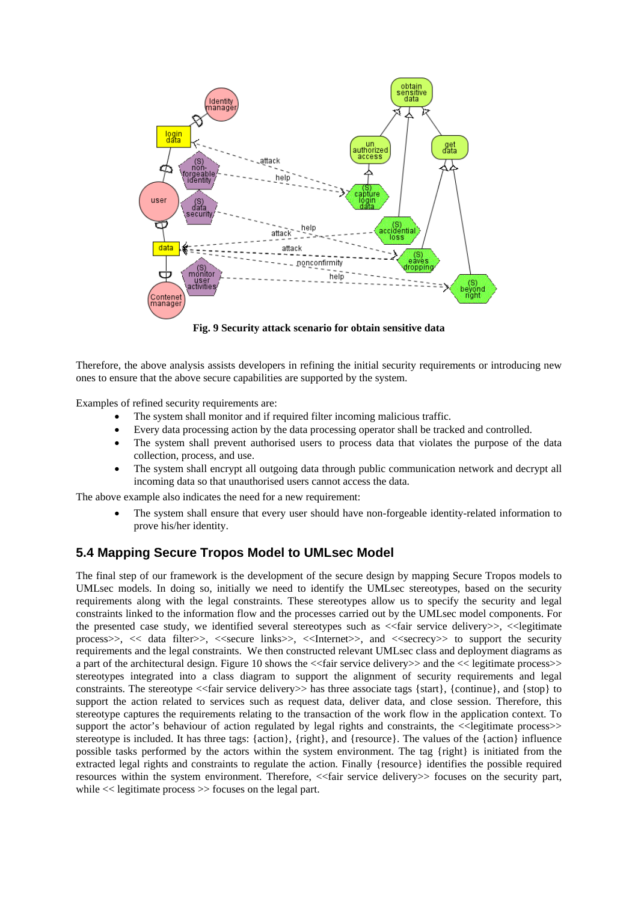

**Fig. 9 Security attack scenario for obtain sensitive data** 

Therefore, the above analysis assists developers in refining the initial security requirements or introducing new ones to ensure that the above secure capabilities are supported by the system.

Examples of refined security requirements are:

- The system shall monitor and if required filter incoming malicious traffic.
- Every data processing action by the data processing operator shall be tracked and controlled.
- The system shall prevent authorised users to process data that violates the purpose of the data collection, process, and use.
- The system shall encrypt all outgoing data through public communication network and decrypt all incoming data so that unauthorised users cannot access the data.

The above example also indicates the need for a new requirement:

 The system shall ensure that every user should have non-forgeable identity-related information to prove his/her identity.

# **5.4 Mapping Secure Tropos Model to UMLsec Model**

The final step of our framework is the development of the secure design by mapping Secure Tropos models to UMLsec models. In doing so, initially we need to identify the UMLsec stereotypes, based on the security requirements along with the legal constraints. These stereotypes allow us to specify the security and legal constraints linked to the information flow and the processes carried out by the UMLsec model components. For the presented case study, we identified several stereotypes such as <<fair service delivery>>, <<legitimate process>>, << data filter>>, <<secure links>>, <<Internet>>, and <<secrecy>> to support the security requirements and the legal constraints. We then constructed relevant UMLsec class and deployment diagrams as a part of the architectural design. Figure 10 shows the  $\le$  fair service delivery  $\ge$  and the  $\le$  legitimate process  $\ge$ stereotypes integrated into a class diagram to support the alignment of security requirements and legal constraints. The stereotype <<fair service delivery>> has three associate tags {start}, {continue}, and {stop} to support the action related to services such as request data, deliver data, and close session. Therefore, this stereotype captures the requirements relating to the transaction of the work flow in the application context. To support the actor's behaviour of action regulated by legal rights and constraints, the  $\ll$ legitimate process>> stereotype is included. It has three tags: {action}, {right}, and {resource}. The values of the {action} influence possible tasks performed by the actors within the system environment. The tag {right} is initiated from the extracted legal rights and constraints to regulate the action. Finally {resource} identifies the possible required resources within the system environment. Therefore, <<fair service delivery>> focuses on the security part, while  $<<$  legitimate process  $>>$  focuses on the legal part.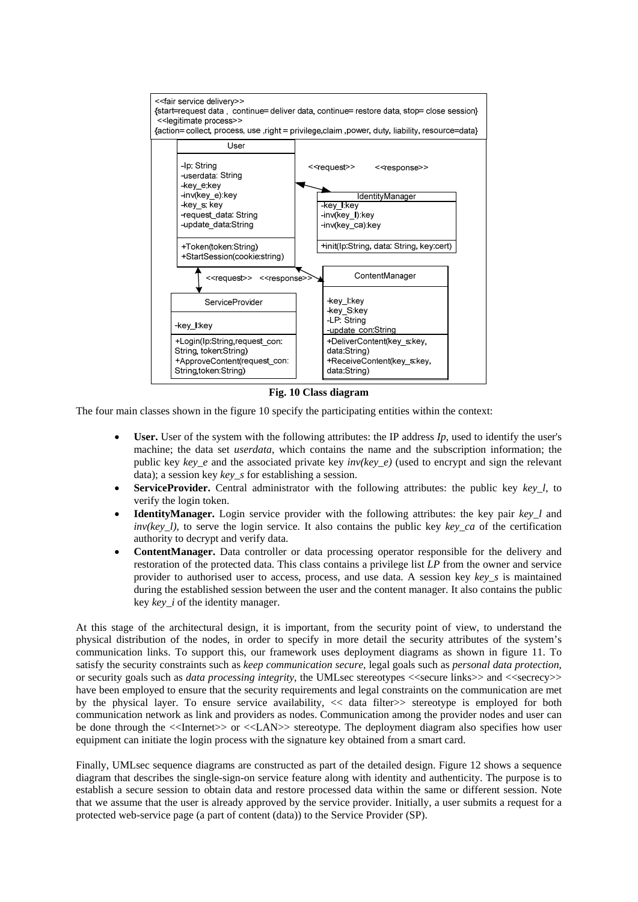

**Fig. 10 Class diagram** 

The four main classes shown in the figure 10 specify the participating entities within the context:

- User. User of the system with the following attributes: the IP address *Ip*, used to identify the user's machine; the data set *userdata*, which contains the name and the subscription information; the public key *key\_e* and the associated private key *inv(key\_e)* (used to encrypt and sign the relevant data); a session key *key\_s* for establishing a session.
- **ServiceProvider.** Central administrator with the following attributes: the public key *key l*, to verify the login token.
- **IdentityManager.** Login service provider with the following attributes: the key pair *key\_l* and  $inv(key, l)$ , to serve the login service. It also contains the public key *key ca* of the certification authority to decrypt and verify data.
- **ContentManager.** Data controller or data processing operator responsible for the delivery and restoration of the protected data. This class contains a privilege list *LP* from the owner and service provider to authorised user to access, process, and use data. A session key *key\_s* is maintained during the established session between the user and the content manager. It also contains the public key *key\_i* of the identity manager.

At this stage of the architectural design, it is important, from the security point of view, to understand the physical distribution of the nodes, in order to specify in more detail the security attributes of the system's communication links. To support this, our framework uses deployment diagrams as shown in figure 11. To satisfy the security constraints such as *keep communication secure*, legal goals such as *personal data protection*, or security goals such as *data processing integrity*, the UMLsec stereotypes <<secure links>> and <<secrecy>> have been employed to ensure that the security requirements and legal constraints on the communication are met by the physical layer. To ensure service availability, << data filter>> stereotype is employed for both communication network as link and providers as nodes. Communication among the provider nodes and user can be done through the <<Internet>> or <<LAN>> stereotype. The deployment diagram also specifies how user equipment can initiate the login process with the signature key obtained from a smart card.

Finally, UMLsec sequence diagrams are constructed as part of the detailed design. Figure 12 shows a sequence diagram that describes the single-sign-on service feature along with identity and authenticity. The purpose is to establish a secure session to obtain data and restore processed data within the same or different session. Note that we assume that the user is already approved by the service provider. Initially, a user submits a request for a protected web-service page (a part of content (data)) to the Service Provider (SP).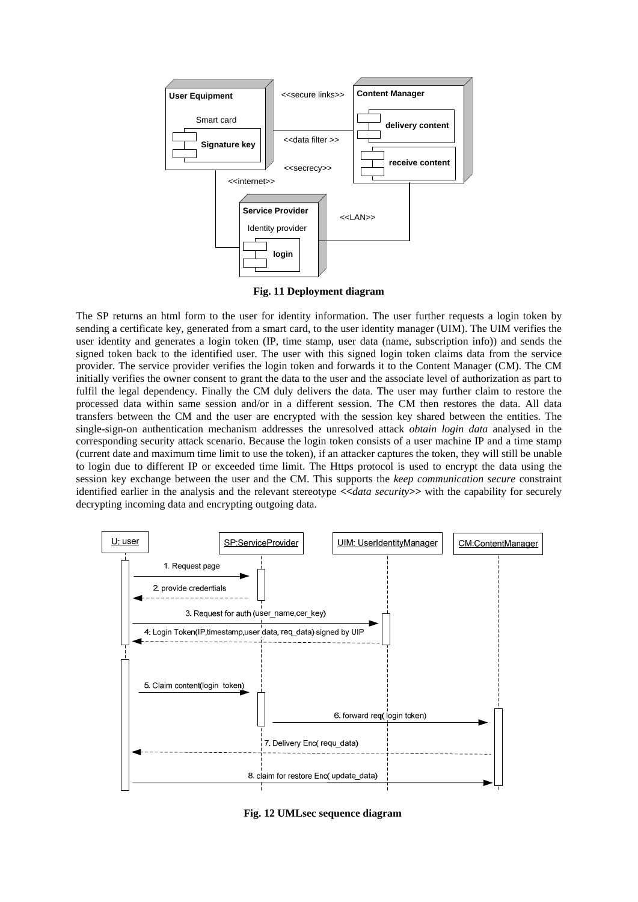

**Fig. 11 Deployment diagram** 

The SP returns an html form to the user for identity information. The user further requests a login token by sending a certificate key, generated from a smart card, to the user identity manager (UIM). The UIM verifies the user identity and generates a login token (IP, time stamp, user data (name, subscription info)) and sends the signed token back to the identified user. The user with this signed login token claims data from the service provider. The service provider verifies the login token and forwards it to the Content Manager (CM). The CM initially verifies the owner consent to grant the data to the user and the associate level of authorization as part to fulfil the legal dependency. Finally the CM duly delivers the data. The user may further claim to restore the processed data within same session and/or in a different session. The CM then restores the data. All data transfers between the CM and the user are encrypted with the session key shared between the entities. The single-sign-on authentication mechanism addresses the unresolved attack *obtain login data* analysed in the corresponding security attack scenario. Because the login token consists of a user machine IP and a time stamp (current date and maximum time limit to use the token), if an attacker captures the token, they will still be unable to login due to different IP or exceeded time limit. The Https protocol is used to encrypt the data using the session key exchange between the user and the CM. This supports the *keep communication secure* constraint identified earlier in the analysis and the relevant stereotype *<<data security>>* with the capability for securely decrypting incoming data and encrypting outgoing data.



**Fig. 12 UMLsec sequence diagram**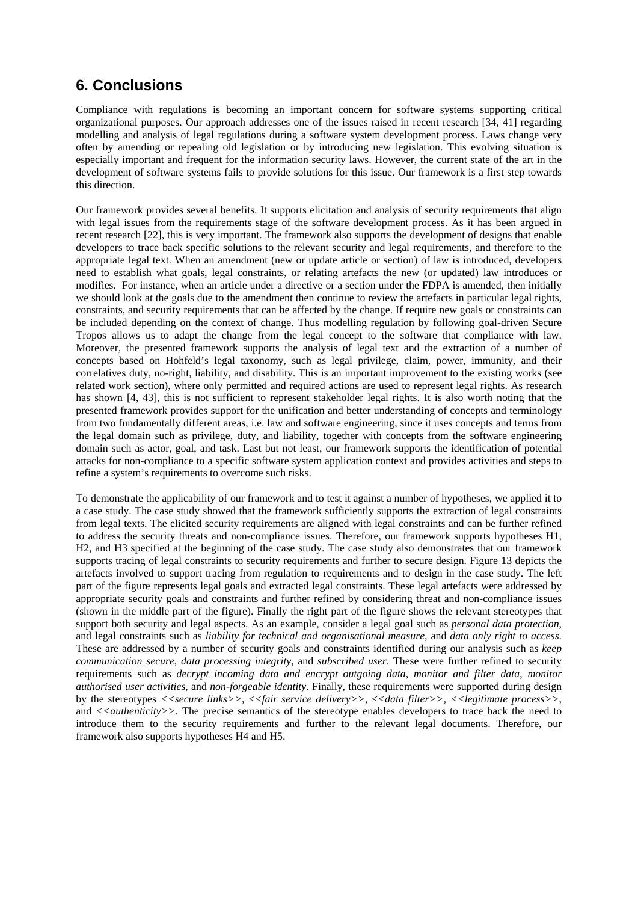# **6. Conclusions**

Compliance with regulations is becoming an important concern for software systems supporting critical organizational purposes. Our approach addresses one of the issues raised in recent research [34, 41] regarding modelling and analysis of legal regulations during a software system development process. Laws change very often by amending or repealing old legislation or by introducing new legislation. This evolving situation is especially important and frequent for the information security laws. However, the current state of the art in the development of software systems fails to provide solutions for this issue. Our framework is a first step towards this direction.

Our framework provides several benefits. It supports elicitation and analysis of security requirements that align with legal issues from the requirements stage of the software development process. As it has been argued in recent research [22], this is very important. The framework also supports the development of designs that enable developers to trace back specific solutions to the relevant security and legal requirements, and therefore to the appropriate legal text. When an amendment (new or update article or section) of law is introduced, developers need to establish what goals, legal constraints, or relating artefacts the new (or updated) law introduces or modifies. For instance, when an article under a directive or a section under the FDPA is amended, then initially we should look at the goals due to the amendment then continue to review the artefacts in particular legal rights, constraints, and security requirements that can be affected by the change. If require new goals or constraints can be included depending on the context of change. Thus modelling regulation by following goal-driven Secure Tropos allows us to adapt the change from the legal concept to the software that compliance with law. Moreover, the presented framework supports the analysis of legal text and the extraction of a number of concepts based on Hohfeld's legal taxonomy, such as legal privilege, claim, power, immunity, and their correlatives duty, no-right, liability, and disability. This is an important improvement to the existing works (see related work section), where only permitted and required actions are used to represent legal rights. As research has shown [4, 43], this is not sufficient to represent stakeholder legal rights. It is also worth noting that the presented framework provides support for the unification and better understanding of concepts and terminology from two fundamentally different areas, i.e. law and software engineering, since it uses concepts and terms from the legal domain such as privilege, duty, and liability, together with concepts from the software engineering domain such as actor, goal, and task. Last but not least, our framework supports the identification of potential attacks for non-compliance to a specific software system application context and provides activities and steps to refine a system's requirements to overcome such risks.

To demonstrate the applicability of our framework and to test it against a number of hypotheses, we applied it to a case study. The case study showed that the framework sufficiently supports the extraction of legal constraints from legal texts. The elicited security requirements are aligned with legal constraints and can be further refined to address the security threats and non-compliance issues. Therefore, our framework supports hypotheses H1, H2, and H3 specified at the beginning of the case study. The case study also demonstrates that our framework supports tracing of legal constraints to security requirements and further to secure design. Figure 13 depicts the artefacts involved to support tracing from regulation to requirements and to design in the case study. The left part of the figure represents legal goals and extracted legal constraints. These legal artefacts were addressed by appropriate security goals and constraints and further refined by considering threat and non-compliance issues (shown in the middle part of the figure). Finally the right part of the figure shows the relevant stereotypes that support both security and legal aspects. As an example, consider a legal goal such as *personal data protection*, and legal constraints such as *liability for technical and organisational measure*, and *data only right to access*. These are addressed by a number of security goals and constraints identified during our analysis such as *keep communication secure*, *data processing integrity*, and *subscribed user*. These were further refined to security requirements such as *decrypt incoming data and encrypt outgoing data*, *monitor and filter data*, *monitor authorised user activities*, and *non-forgeable identity*. Finally, these requirements were supported during design by the stereotypes *<<secure links>>*, <*<fair service delivery>>*, <*<data filter>>*, *<<legitimate process>>*, and *<<authenticity>>*. The precise semantics of the stereotype enables developers to trace back the need to introduce them to the security requirements and further to the relevant legal documents. Therefore, our framework also supports hypotheses H4 and H5.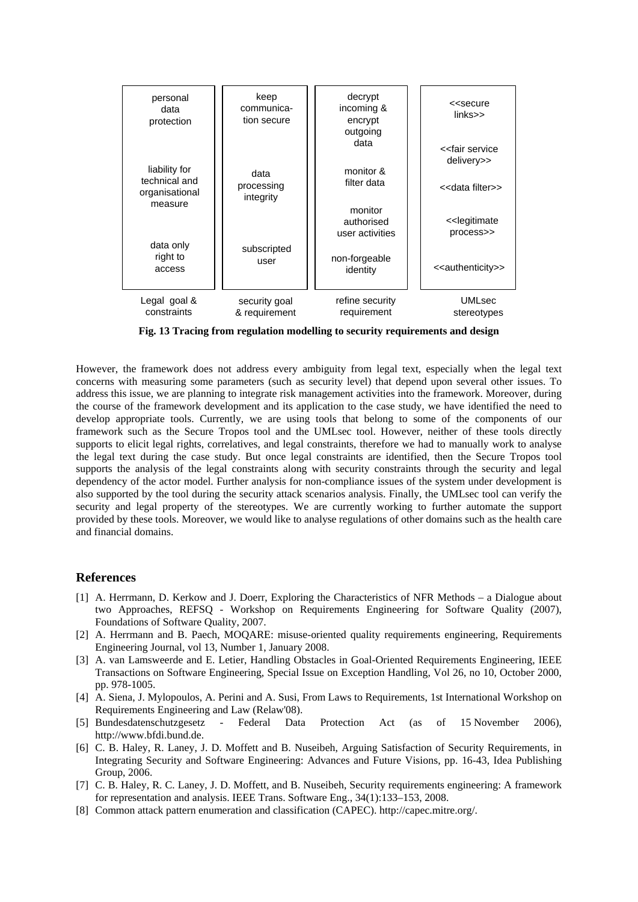

**Fig. 13 Tracing from regulation modelling to security requirements and design** 

However, the framework does not address every ambiguity from legal text, especially when the legal text concerns with measuring some parameters (such as security level) that depend upon several other issues. To address this issue, we are planning to integrate risk management activities into the framework. Moreover, during the course of the framework development and its application to the case study, we have identified the need to develop appropriate tools. Currently, we are using tools that belong to some of the components of our framework such as the Secure Tropos tool and the UMLsec tool. However, neither of these tools directly supports to elicit legal rights, correlatives, and legal constraints, therefore we had to manually work to analyse the legal text during the case study. But once legal constraints are identified, then the Secure Tropos tool supports the analysis of the legal constraints along with security constraints through the security and legal dependency of the actor model. Further analysis for non-compliance issues of the system under development is also supported by the tool during the security attack scenarios analysis. Finally, the UMLsec tool can verify the security and legal property of the stereotypes. We are currently working to further automate the support provided by these tools. Moreover, we would like to analyse regulations of other domains such as the health care and financial domains.

#### **References**

- [1] A. Herrmann, D. Kerkow and J. Doerr, Exploring the Characteristics of NFR Methods a Dialogue about two Approaches, REFSQ - Workshop on Requirements Engineering for Software Quality (2007), Foundations of Software Quality, 2007.
- [2] A. Herrmann and B. Paech, MOQARE: misuse-oriented quality requirements engineering, Requirements Engineering Journal, vol 13, Number 1, January 2008.
- [3] A. van Lamsweerde and E. Letier, Handling Obstacles in Goal-Oriented Requirements Engineering, IEEE Transactions on Software Engineering, Special Issue on Exception Handling, Vol 26, no 10, October 2000, pp. 978-1005.
- [4] A. Siena, J. Mylopoulos, A. Perini and A. Susi, From Laws to Requirements, 1st International Workshop on Requirements Engineering and Law (Relaw'08).
- [5] Bundesdatenschutzgesetz Federal Data Protection Act (as of 15 November 2006), http://www.bfdi.bund.de.
- [6] C. B. Haley, R. Laney, J. D. Moffett and B. Nuseibeh, Arguing Satisfaction of Security Requirements, in Integrating Security and Software Engineering: Advances and Future Visions, pp. 16-43, Idea Publishing Group, 2006.
- [7] C. B. Haley, R. C. Laney, J. D. Moffett, and B. Nuseibeh, Security requirements engineering: A framework for representation and analysis. IEEE Trans. Software Eng., 34(1):133–153, 2008.
- [8] Common attack pattern enumeration and classification (CAPEC). http://capec.mitre.org/.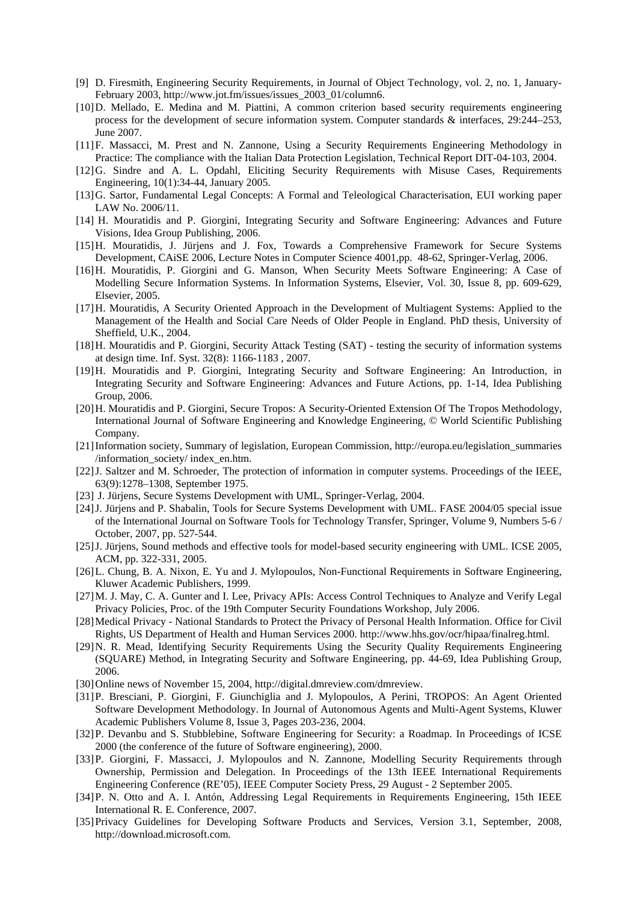- [9] D. Firesmith, Engineering Security Requirements, in Journal of Object Technology, vol. 2, no. 1, January-February 2003, http://www.jot.fm/issues/issues\_2003\_01/column6.
- [10]D. Mellado, E. Medina and M. Piattini, A common criterion based security requirements engineering process for the development of secure information system. Computer standards & interfaces, 29:244–253, June 2007.
- [11]F. Massacci, M. Prest and N. Zannone, Using a Security Requirements Engineering Methodology in Practice: The compliance with the Italian Data Protection Legislation, Technical Report DIT-04-103, 2004.
- [12]G. Sindre and A. L. Opdahl, Eliciting Security Requirements with Misuse Cases, Requirements Engineering, 10(1):34-44, January 2005.
- [13]G. Sartor, Fundamental Legal Concepts: A Formal and Teleological Characterisation, EUI working paper LAW No. 2006/11.
- [14] H. Mouratidis and P. Giorgini, Integrating Security and Software Engineering: Advances and Future Visions, Idea Group Publishing, 2006.
- [15]H. Mouratidis, J. Jürjens and J. Fox, Towards a Comprehensive Framework for Secure Systems Development, CAiSE 2006, Lecture Notes in Computer Science 4001,pp. 48-62, Springer-Verlag, 2006.
- [16]H. Mouratidis, P. Giorgini and G. Manson, When Security Meets Software Engineering: A Case of Modelling Secure Information Systems. In Information Systems, Elsevier, Vol. 30, Issue 8, pp. 609-629, Elsevier, 2005.
- [17]H. Mouratidis, A Security Oriented Approach in the Development of Multiagent Systems: Applied to the Management of the Health and Social Care Needs of Older People in England. PhD thesis, University of Sheffield, U.K., 2004.
- [18]H. Mouratidis and P. Giorgini, Security Attack Testing (SAT) testing the security of information systems at design time. Inf. Syst. 32(8): 1166-1183 , 2007.
- [19]H. Mouratidis and P. Giorgini, Integrating Security and Software Engineering: An Introduction, in Integrating Security and Software Engineering: Advances and Future Actions, pp. 1-14, Idea Publishing Group, 2006.
- [20]H. Mouratidis and P. Giorgini, Secure Tropos: A Security-Oriented Extension Of The Tropos Methodology, International Journal of Software Engineering and Knowledge Engineering, © World Scientific Publishing Company.
- [21]Information society, Summary of legislation, European Commission, http://europa.eu/legislation\_summaries /information\_society/ index\_en.htm.
- [22]J. Saltzer and M. Schroeder, The protection of information in computer systems. Proceedings of the IEEE, 63(9):1278–1308, September 1975.
- [23] J. Jürjens, Secure Systems Development with UML, Springer-Verlag, 2004.
- [24]J. Jürjens and P. Shabalin, Tools for Secure Systems Development with UML. FASE 2004/05 special issue of the International Journal on Software Tools for Technology Transfer, Springer, Volume 9, Numbers 5-6 / October, 2007, pp. 527-544.
- [25]J. Jürjens, Sound methods and effective tools for model-based security engineering with UML. ICSE 2005, ACM, pp. 322-331, 2005.
- [26]L. Chung, B. A. Nixon, E. Yu and J. Mylopoulos, Non-Functional Requirements in Software Engineering, Kluwer Academic Publishers, 1999.
- [27]M. J. May, C. A. Gunter and I. Lee, Privacy APIs: Access Control Techniques to Analyze and Verify Legal Privacy Policies, Proc. of the 19th Computer Security Foundations Workshop, July 2006.
- [28]Medical Privacy National Standards to Protect the Privacy of Personal Health Information. Office for Civil Rights, US Department of Health and Human Services 2000. http://www.hhs.gov/ocr/hipaa/finalreg.html.
- [29]N. R. Mead, Identifying Security Requirements Using the Security Quality Requirements Engineering (SQUARE) Method, in Integrating Security and Software Engineering, pp. 44-69, Idea Publishing Group, 2006.
- [30]Online news of November 15, 2004, http://digital.dmreview.com/dmreview.
- [31]P. Bresciani, P. Giorgini, F. Giunchiglia and J. Mylopoulos, A Perini, TROPOS: An Agent Oriented Software Development Methodology. In Journal of Autonomous Agents and Multi-Agent Systems, Kluwer Academic Publishers Volume 8, Issue 3, Pages 203-236, 2004.
- [32]P. Devanbu and S. Stubblebine, Software Engineering for Security: a Roadmap. In Proceedings of ICSE 2000 (the conference of the future of Software engineering), 2000.
- [33]P. Giorgini, F. Massacci, J. Mylopoulos and N. Zannone, Modelling Security Requirements through Ownership, Permission and Delegation. In Proceedings of the 13th IEEE International Requirements Engineering Conference (RE'05), IEEE Computer Society Press, 29 August - 2 September 2005.
- [34]P. N. Otto and A. I. Antón, Addressing Legal Requirements in Requirements Engineering, 15th IEEE International R. E. Conference, 2007.
- [35]Privacy Guidelines for Developing Software Products and Services, Version 3.1, September, 2008, http://download.microsoft.com.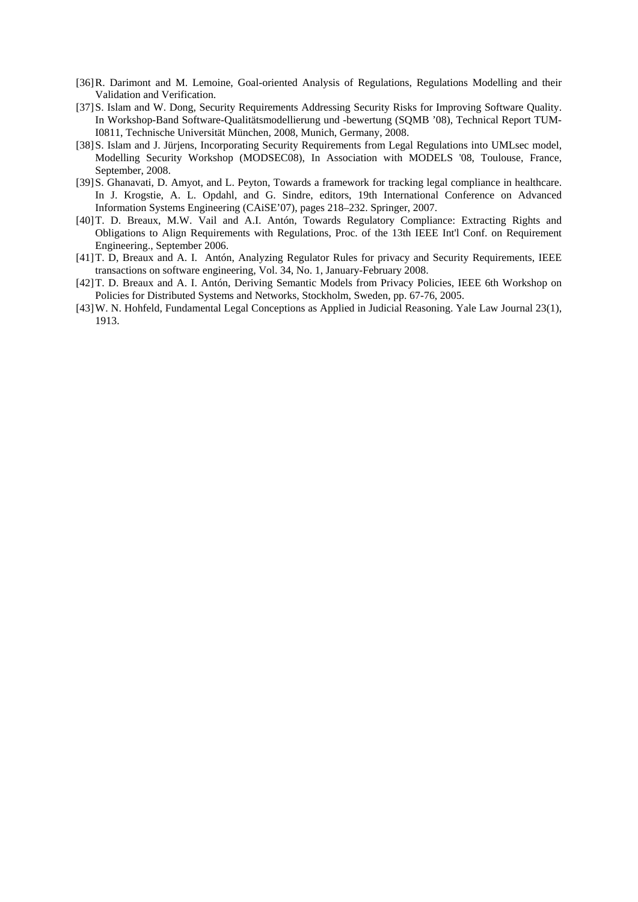- [36]R. Darimont and M. Lemoine, Goal-oriented Analysis of Regulations, Regulations Modelling and their Validation and Verification.
- [37]S. Islam and W. Dong, Security Requirements Addressing Security Risks for Improving Software Quality. In Workshop-Band Software-Qualitätsmodellierung und -bewertung (SQMB '08), Technical Report TUM-I0811, Technische Universität München, 2008, Munich, Germany, 2008.
- [38]S. Islam and J. Jürjens, Incorporating Security Requirements from Legal Regulations into UMLsec model, Modelling Security Workshop (MODSEC08), In Association with MODELS '08, Toulouse, France, September, 2008.
- [39]S. Ghanavati, D. Amyot, and L. Peyton, Towards a framework for tracking legal compliance in healthcare. In J. Krogstie, A. L. Opdahl, and G. Sindre, editors, 19th International Conference on Advanced Information Systems Engineering (CAiSE'07), pages 218–232. Springer, 2007.
- [40]T. D. Breaux, M.W. Vail and A.I. Antón, Towards Regulatory Compliance: Extracting Rights and Obligations to Align Requirements with Regulations, Proc. of the 13th IEEE Int'l Conf. on Requirement Engineering., September 2006.
- [41]T. D, Breaux and A. I. Antón, Analyzing Regulator Rules for privacy and Security Requirements, IEEE transactions on software engineering, Vol. 34, No. 1, January-February 2008.
- [42]T. D. Breaux and A. I. Antón, Deriving Semantic Models from Privacy Policies, IEEE 6th Workshop on Policies for Distributed Systems and Networks, Stockholm, Sweden, pp. 67-76, 2005.
- [43]W. N. Hohfeld, Fundamental Legal Conceptions as Applied in Judicial Reasoning. Yale Law Journal 23(1), 1913.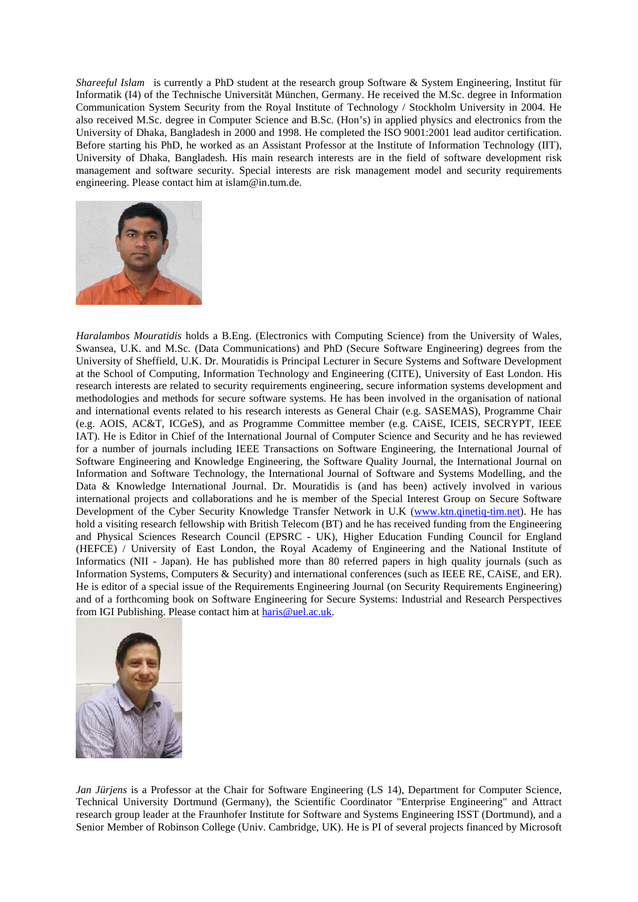*Shareeful Islam* is currently a PhD student at the research group Software & System Engineering, Institut für Informatik (I4) of the Technische Universität München, Germany. He received the M.Sc. degree in Information Communication System Security from the Royal Institute of Technology / Stockholm University in 2004. He also received M.Sc. degree in Computer Science and B.Sc. (Hon's) in applied physics and electronics from the University of Dhaka, Bangladesh in 2000 and 1998. He completed the ISO 9001:2001 lead auditor certification. Before starting his PhD, he worked as an Assistant Professor at the Institute of Information Technology (IIT), University of Dhaka, Bangladesh. His main research interests are in the field of software development risk management and software security. Special interests are risk management model and security requirements engineering. Please contact him at islam@in.tum.de.



*Haralambos Mouratidis* holds a B.Eng. (Electronics with Computing Science) from the University of Wales, Swansea, U.K. and M.Sc. (Data Communications) and PhD (Secure Software Engineering) degrees from the University of Sheffield, U.K. Dr. Mouratidis is Principal Lecturer in Secure Systems and Software Development at the School of Computing, Information Technology and Engineering (CITE), University of East London. His research interests are related to security requirements engineering, secure information systems development and methodologies and methods for secure software systems. He has been involved in the organisation of national and international events related to his research interests as General Chair (e.g. SASEMAS), Programme Chair (e.g. AOIS, AC&T, ICGeS), and as Programme Committee member (e.g. CAiSE, ICEIS, SECRYPT, IEEE IAT). He is Editor in Chief of the International Journal of Computer Science and Security and he has reviewed for a number of journals including IEEE Transactions on Software Engineering, the International Journal of Software Engineering and Knowledge Engineering, the Software Quality Journal, the International Journal on Information and Software Technology, the International Journal of Software and Systems Modelling, and the Data & Knowledge International Journal. Dr. Mouratidis is (and has been) actively involved in various international projects and collaborations and he is member of the Special Interest Group on Secure Software Development of the Cyber Security Knowledge Transfer Network in U.K (www.ktn.qinetiq-tim.net). He has hold a visiting research fellowship with British Telecom (BT) and he has received funding from the Engineering and Physical Sciences Research Council (EPSRC - UK), Higher Education Funding Council for England (HEFCE) / University of East London, the Royal Academy of Engineering and the National Institute of Informatics (NII - Japan). He has published more than 80 referred papers in high quality journals (such as Information Systems, Computers & Security) and international conferences (such as IEEE RE, CAiSE, and ER). He is editor of a special issue of the Requirements Engineering Journal (on Security Requirements Engineering) and of a forthcoming book on Software Engineering for Secure Systems: Industrial and Research Perspectives from IGI Publishing. Please contact him at haris@uel.ac.uk.



*Jan Jürjens* is a Professor at the Chair for Software Engineering (LS 14), Department for Computer Science, Technical University Dortmund (Germany), the Scientific Coordinator "Enterprise Engineering" and Attract research group leader at the Fraunhofer Institute for Software and Systems Engineering ISST (Dortmund), and a Senior Member of Robinson College (Univ. Cambridge, UK). He is PI of several projects financed by Microsoft